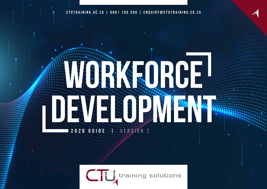**CTUTRAINING.AC.ZA | 0861 100 396 | ENQUIRY@CTUTRAINING.CO.ZA**

# **WORKFORCE DEVELOPMENT 2020 GUIDE |** VERSION 2

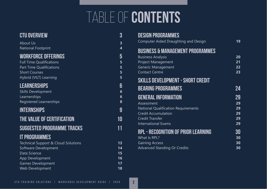# table of **contents**

| <b>CTU OVERVIEW</b>                            | ვ                       |
|------------------------------------------------|-------------------------|
| <b>About Us</b>                                | $\overline{\mathbf{3}}$ |
| <b>National Footprint</b>                      | 4                       |
| <b>WORKFORCE OFFERINGS</b>                     | 5                       |
| <b>Full Time Qualifications</b>                | $5\phantom{1}$          |
| <b>Part Time Qualifications</b>                | 5                       |
| <b>Short Courses</b>                           | 5<br>5                  |
| Hybrid (VILT) Learning                         |                         |
| <b>LEARNERSHIPS</b>                            | 6                       |
| <b>Skills Development</b>                      | $6\phantom{1}6$         |
| Learnerships<br><b>Registered Learnerships</b> | $6\phantom{1}6$<br>8    |
|                                                |                         |
| <b>INTERNSHIPS</b>                             | 9                       |
| THE VALUE OF CERTIFICATION                     | 10                      |
| <b>SUGGESTED PROGRAMME TRACKS</b>              | 11                      |
| <b>IT PROGRAMMES</b>                           |                         |
| Technical Support & Cloud Solutions            | 13                      |
| <b>Software Development</b>                    | 14                      |
| Data Science                                   | 15<br>16                |
| App Development<br><b>Games Development</b>    | 17                      |
| Web Development                                | 18                      |

| <b>DESIGN PROGRAMMES</b>                    |    |
|---------------------------------------------|----|
| Computer Aided Draughting and Design        | 19 |
| <b>BUSINESS &amp; MANAGEMENT PROGRAMMES</b> |    |
| <b>Business Analysis</b>                    | 20 |
| <b>Project Management</b>                   | 21 |
| <b>Generic Management</b>                   | 22 |
| <b>Contact Centre</b>                       | 23 |
| <b>SKILLS DEVELOPMENT - SHORT CREDIT</b>    |    |
| <b>BEARING PROGRAMMES</b>                   | 24 |
| <b>GENERAL INFORMATION</b>                  | 29 |
| Assessment                                  | 29 |
| <b>National Qualification Requirements</b>  | 29 |
| <b>Credit Accumulation</b>                  | 29 |
| <b>Credit Transfer</b>                      | 29 |
| <b>International Exams</b>                  | 29 |
| <b>RPL - RECOGNITION OF PRIOR LEARNING</b>  | 30 |
| What Is RPL?                                | 30 |
| <b>Gaining Access</b>                       | 30 |
| <b>Advanced Standing Or Credits</b>         | 30 |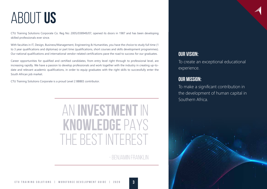# ABOUT **US**

CTU Training Solutions Corporate Co. Reg No: 2005/038949/07, opened its doors in 1987 and has been developing skilled professionals ever since.

With faculties in IT, Design, Business/Management, Engineering & Humanities, you have the choice to study full time (1 to 3 year qualifications and diplomas) or part time (qualifications, short courses and skills development programmes). Our national qualifications and international vendor-related certifications pave the road to success for our graduates.

Career opportunities for qualified and certified candidates, from entry level right through to professional level, are increasing rapidly. We have a passion to develop professionals and work together with the industry in creating up-todate and relevant academic qualifications, in order to equip graduates with the right skills to successfully enter the South African job market.

CTU Training Solutions Corporate is a proud Level 2 BBBEE contributor.

# AN **INVESTMENT** IN **KNOWLEDGE** PAYS THE BEST INTEREST

- BENJAMIN FRANKLIN

# **OUR VISION:**

To create an exceptional educational experience.

### **OUR MISSION:**

To make a significant contribution in the development of human capital in Southern Africa.

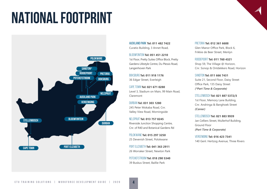# **NATIONAL FOOTPRINT**



Auckland Park **Tel: 011 482 7422** Curatio Building, 3 Annet Road,

Bloemfontein **Tel: 051 451 2210** 1st Floor, Pretty Suites Office Block, Pretty Gardens Lifestyle Centre, Du Plessis Road, Langenhoven Park

Boksburg **Tel: 011 918 1176** 36 Edgar Street, Everleigh

Cape Town **Tel: 021 671 0280** Level 3, Stadium on Main, 99 Main Road, Claremont

Durban **Tel: 031 303 1280** 245 Peter Mokaba Road, Cnr. Valley View Road, Morningside

Nelspruit **Tel: 013 757 0245** Riverside Junction Shopping Centre, Cnr. of R40 and Botanical Gardens Rd

Polokwane **Tel: 015 297 3250** 25 Devenish Street, Polokwane

Port Elizabeth **Tel: 041 363 2911** 26 Worraker Street, Newton Park

Potchefstroom **Tel: 018 290 5340** 39 Buskus Street, Baillie Park

Pretoria **Tel: 012 361 6688** Glen Manor Office Park, Block 6, Frikkie de Beer Street, Menlyn

Roodepoort **Tel: 011 760 4321** Shop 59, The Village @ Horizon, Cnr. Sonop & Ontdekkers Road, Horizon

SANDTON **Tel: 011 666 7431** Suite 21, Second Floor, Daisy Street Office Park, 135 Daisy Street *(\*Part Time & Corporate)*

Stellenbosch **Tel: 021 887 5372/3** 1st Floor, Memory Lane Building, Cnr. Andringa & Banghoek Street *(Career)*

Stellenbosch **Tel: 021 883 9939** Jan Celliers Street, Mullerhof Building, Ground Floor *(Part Time & Corporate)*

Vereeniging **Tel: 016 423 7341** 140 Genl. Hertzog Avenue, Three Rivers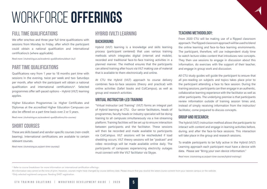# WORKFORCE **OFFERINGS**

### **FULL TIME QUALIFICATIONS**

We offer one/two and three year full time qualifications with sessions from Monday to Friday, after which the participant could obtain a national qualification and international certification/s (where applicable).

*Read more: (ctutraining.ac.za/academic-qualifications/about-ctu/)*

### **PART TIME QUALIFICATIONS**

Qualifications vary from 1 year to 18 months part time with sessions in the evening, twice per week and two Saturdays per month, after which the participant will obtain a national qualification and international certification/s\*. Selected programmes offer self-paced options – Hybrid (VILT) learning applies.

Higher Education Programmes i.e. Higher Certificates and Diplomas at the accredited Higher Education Campuses can also be offered on a part time basis over 2 or 5 years.

*Read more: (ctutraining.ac.za/academic-qualifications/ctu-courses)*

### **SHORT COURSES**

These are skills based and vendor-specific courses (non-credit bearing). International certifications are available to certain relevant courses.

\* Refer to course breakdown for more information on international certification offerings.

*Read more: (ctutraining.ac.za/part-time-courses/)* 

\*Only selected registered campuses. Pending DHET registration.

### **HYBRID (VILT) LEARNING**

#### **BACKGROUND:**

Hybrid (VILT) learning is a knowledge and skills learning process (participant centered) that uses various training methods which integrates digital (internet and mobile), recorded and traditional face-to-face training activities in a planned manner. The method ensures that the participants can attend training after hours via VILT making use of material that is available to them electronically and online.

At CTU the Hybrid (VILT) approach to course delivery combines face-to-face sessions (theory and practical) with online activities (Safari books and ColCampus), as well as group and research activities.

#### **VIRTUAL INSTRUCTOR-LED TRAINING**

All information was correct at the time of print. However, courses might have changed by course delivery date. Please ensure that you receive the latest course content from your nearest campus or the website.

"Virtual Instructor Led Training" (VILT) forms an integral part of Hybrid learning at CTU. Our senior facilitators, heads of programmes, faculty heads or industry specialist will be doing training to all campuses simultaneously via a live-streaming platform. Training facilities will be set up to ensure interaction between participants and the facilitator. These sessions will then be recorded and made available to participants via ColCampus. VILT sessions will be rescheduled if load shedding occurs. VILT theory sessions will be "podcast" and video recordings will be made available online daily. The participants of campuses experiencing electricity outages must connect with the VILT facilitator via Skype.

#### **TEACHING METHODOLOGY:**

From 2020 CTU will be making use of a flipped classroom approach. The flipped classroom approach will be used to blend the online learning and face-to-face learning environments. The participant, therefore, will use independent study time to watch lecture video content that introduces new concepts. They then use sessions to engage in discussion about this information, do exercises with the support of their teacher, and engage in group work and discussion.

All CTU study guides will guide the participant to ensure that all pre-reading on subjects and topics takes place prior to the participant attending a face to face session. During the training sessions, participants can then engage in an authentic, collaborative learning experience with the facilitator as well as other participants. The underlying premise is that participants review information outside of training session times and, instead of simply receiving information from the instructor/ facilitator, come prepared to discuss concepts.

#### **GROUP AND RESEARCH:**

The hybrid (VILT) instruction method allows the participants to interact with content and engage in learning activities before, during, and after the face-to-face sessions. This interaction will take place in the group and research sessions.

To enable participants to be fully active in the Hybrid (VILT) Learning approach each participant must have a device with data. Please see "Bring your own device information."

*Read more: (ctutraining.ac.za/part-time-courses/hybrid-training/)*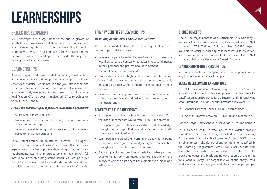# **LEARNERSHIPS**

### **SKILLS DEVELOPMENT**

Skills shortages are a key threat to the future growth of South African businesses. Upskilling the existing workforce is vital for securing a business's future and ensuring it remains competitive. If you or your employees are well trained they'll be more productive, leading to increased efficiency, and higher profits for your business.

### **LEARNERSHIPS**

A learnership is a work-based route to obtaining a qualification. It is an education and training programme comprising of both structured practical workplace (on-the-job) experience and structured theoretical training. The duration of a learnership is approximately twelve months and results in a full national qualification. CTU has over 14 registered ICT Learnerships up to NQF Level 5 and 6.

#### *At CTU the learnership best practice is identified as follows:*

- All training is instructor-led.
- Training times are structured according to required notional hours per learnership.
- Learners attend training and workplace learning sessions based on an agreed schedule.

Various other options can be offered. However, CTU suggests the 6 months theoretical session and 6 months' workplace experience as the best option - depending on accreditation requirements. Learnership groups smaller than 20 will fall into various available programme schedules. Groups larger than 20 are not restricted to specific starting dates and their schedules can be customized according to the client's needs.

#### **PRIMARY BENEFITS OF LEARNERSHIPS:**

#### *Upskilling of Employees and Related Benefits*

There are immediate benefits to upskilling employees on learnerships for the employer:

- Increased loyalty towards the employer Employees are less likely to leave a company that takes interest and invests in their personal and professional development.
- Technical expertise is enhanced.
- Learnerships involve a high portion of on-the-job training. Work performance and productivity are not negatively impacted as much when compared to traditional learning methods.
- Increased productivity and profitability Employees tend to be more motivated and strive to add greater value to the organisation.

#### **BENEFITS FOR THE PARTICIPANT:**

- Participants need learnerships because they cannot afford the loss of income that would result in full-time studying.
- Participants gain technical expertise and knowledge through learnerships that are directly and practically related to their field of work.
- Learnerships enable further learning and allow participants the opportunity to gain a nationally recognised qualification through a structured learning programme.
- A good qualification provides a basis for further personal development. Work standards and job satisfaction are improved and the participant has a greater self-image and self-esteem.

#### **B-BBEE BENEFITS:**

One of the major benefits of a learnership to a company is the impact on the skills development aspect of your B-BBEE scorecard. CTU Training Solutions has B-BBEE experts available to assist in ensuring that learnership interventions are implemented in a manner that maximises the B-BBEE scorecard. Points are based on a Generic Scorecard.

#### **LEARNERSHIP B-BBEE RECOGNITION:**

In many aspects, a company could earn points under employment equity for black people.

#### **SKILLS DEVELOPMENT EXPENDITURE**

The skills development element requires that 6% of the annual payroll is spent on black employees. The thresholds for classification as an Exempted Micro Enterprise (EME), Qualifying Small Enterprise (QSE) or Generic Entity are as follows:

EME: Annual Turnover under R 10 mil - exempt from BEE.

QSE: Annual turnover between R10 million and R50 million.

Generic (Large) Entity: Annual turnover of R50 million or more.

For a Generic Entity, in total 6% of the leviable amount should be spent on training specified in the Learning Programmes Matrix for black people. At least 0.3% of the leviable amount should be spent on training specified in the Learning Programmes Matrix for black people with disabilities. Learnerships, apprenticeships or internships for black employees and black unemployed people are required for a Generic Entity. The target is 2.5% of the entity's total workforce for black employees and black unemployed people.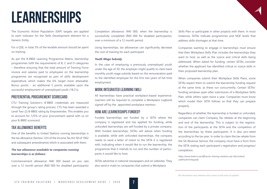# **LEARNERSHIPS**

The Economic Active Population (EAP) targets are applied to each indicator for the Skills Development element for a Generic Entity.

For a QSE, in total 3% of the leviable amount should be spent on training.

As per the B-BBEE Learning Programme Matrix, learnership programmes fulfil the requirements of B, C and D categories – therefore ensuring that the total amount of Training Force invoice and salaries paid to employees on the learnership programme are recognised as part of skills development expenditure which makes the 6% target more attainable. Bonus points - an additional 5 points available upon the successful employment of unemployed youth (18.2's).

#### **PREFERENTIAL PROCUREMENT SCORECARD**

CTU Training Solution's B-BBEE credentials are measured through the group's rating process. CTU has been awarded a Level Two (2) B-BBEE rating by Empowerdex. This enables you to account for 125% of your procurement spend with us on your B-BBEE scorecard.

#### **TAX ALLOWANCE BENEFITS**

One of the benefits to United Stations running learnerships is the tax allowance (Section 12H of the Income Tax Act 58 of 1962 and subsequent amendments) which is associated with them.

#### *The tax allowance available to companies running learnerships is as follows:*

Commencement allowance: R40 000 based on pro rata over a 12 month period (R60 000 for disabled participants)

Completion allowance: R40 000, when the learnership is successfully completed (R60 000 for disabled participants), over a minimum of a 12 month period.

Using learnerships, tax allowances can significantly decrease the cost of training for each participant

#### *Youth Wage Subsidy*

In the case of employing a previously unemployed youth under the age of 30, the employer might qualify to claim back monthly youth wage subsidy based on the remuneration paid to the identified employee for the first two years of full time employment.

#### **WORK INTEGRATED LEARNING (WIL)**

All learnerships have practical workplace-based experience. Learners will be required to complete a Workplace Logbook signed off by the appointed workplace mentors.

#### **HOW ARE LEARNERSHIPS FUNDED?**

Funded learnerships are funded by a SETA where the company is registered and has applied for funding, while unfunded learnerships are self-funded by a private company. With funded learnerships, SETAs will advise when funding is available, while with unfunded learnerships, the company needs to send a letter of intent to the SETA it is registered with, indicating when it would like to run the learnership, the programme that it intends to run and the number of participants it would like to host.

SETAs advertise in national newspapers and on websites. They also send e-mails to companies that submit a Workplace

Skills Plan or participate in other projects with them. In most instances, SETAs indicate programmes and NQF levels that address skills shortages at that time.

Companies wanting to engage in learnerships must ensure that their Workplace Skills Plan includes the learnerships they want to host, as well as the scarce and critical skills being addressed. When asked for funding, certain SETAs consider whether the applicant has identified critical or scarce skills in their proposed learnership plan.

When companies submit their Workplace Skills Plans, some SETAs expect them to submit the learnership funding request at the same time, as these run concurrently. Certain SETAs' funding windows open after submission of a Workplace Skills Plan, while others open twice a year. Companies must know which model their SETA follows so that they can prepare properly.

Regardless of whether the learnership is funded or unfunded, companies can claim Company Tax rebates at the beginning and end of the learnership. This is subject to the registration of the participants at the SETA and the completion of the learnerships by these participants. It is also pro-rated according to the tax year. In order to claim the tax rebate from the SA Revenue Service, the company must have a form from the SETA stating each participant's registration and progress/ completion.

*https://www.itweb.co.za/office/ctu-training-solutions-pty-ltd/content/ xA9POvNYVYAqo4J8*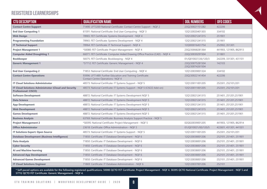### **REGISTERED LEARNERSHIPS**

| <b>CTU DESCRIPTION</b>                                                                     | <b>QUALIFICATION NAME</b>                                                                             | <b>DOL NUMBERS</b>                 | <b>OFO CODES</b>       |
|--------------------------------------------------------------------------------------------|-------------------------------------------------------------------------------------------------------|------------------------------------|------------------------|
| <b>Contact Centre Support</b>                                                              | 71490: LP73269 National Certificate: Contact Centre Support - NQF 2                                   | 23Q230021151282                    | 422206                 |
| <b>End User Computing 1</b>                                                                | 61591: National Certificate: End User Computing - NQF 3                                               | 12Q120020401303                    | 334102                 |
| <b>Web Design</b>                                                                          | 78965: FET Certificate: Systems Development - NQF 4                                                   | 12Q120021241315                    | 251901                 |
| <b>Programming Foundation</b>                                                              | 78965: FET Certificate: Systems Development - NQF 4                                                   | 12Q120021241315                    | 251901                 |
| <b>IT Technical Support</b>                                                                | 78964: FET Certificate: IT Technical Support - NQF 4                                                  | 12Q000016451754                    | 252902, 351301         |
| <b>Project Management 1</b>                                                                | *50080: FET Certificate: Project Management - NQF 4                                                   | 23Q230068281364                    | 441903, 121905, 862913 |
| <b>Computer Aided Draughting 1</b>                                                         | 66071: FET Certificate: Computer Aided Drawing Office Practice (CAD) - NQF 4                          | 23Q230030291504                    | 311801                 |
| <b>Bookkeeper</b>                                                                          | 58375: FET Certificate: Bookkeeping - NQF 4                                                           | 01/Q010027/26/120/3                | 242209, 331301, 431101 |
| <b>Generic Management 1</b>                                                                | *57712: FET Certificate: Generic Management - NQF 4                                                   | 23O230075281504<br>23Q230074261504 | 142103                 |
| <b>End User Computing 2</b>                                                                | 71853: National Certificate: End User Computing - NQF 4                                               | 12Q120039001324                    | 334102                 |
| <b>Contact Centre Operations</b>                                                           | 93996: LP71489: Further Education and Training Certificate:<br><b>Contact Centre Operations-NQF 4</b> | 23Q230022141454                    | 422206                 |
| <b>IT Cloud Solutions Administrator</b>                                                    | 48573: National Certificate: IT Systems Support - NQF 5                                               | 12Q120011001205                    | 252301, 252101/201     |
| <b>IT Cloud Solutions Administrator (Cloud and Security</b><br><b>Professional: CISCO)</b> | 48573: National Certificate: IT Systems Support - NQF 5 (CISCO Add-on)                                | 12Q120011001205                    | 252301, 252101/201     |
| <b>Software Development</b>                                                                | 48872: National Certificate: IT Systems Development NQF 5                                             | 12Q120021241315                    | 251401, 251201, 251901 |
| <b>Data Science</b>                                                                        | 48872: National Certificate: IT Systems Development NQF 5                                             | 12Q120021241315                    | 251401, 251201, 251901 |
| <b>App Development</b>                                                                     | 48872: National Certificate: IT Systems Development NQF 5                                             | 12Q120021241315                    | 251401, 251201, 251901 |
| <b>Web Development</b>                                                                     | 48872: National Certificate: IT Systems Development NQF 5                                             | 12Q120021241315                    | 251401, 251201, 251901 |
| <b>Games Development</b>                                                                   | 48872: National Certificate: IT Systems Development NQF 5                                             | 12Q120021241315                    | 251401, 251201, 251901 |
| <b>Business Analysis</b>                                                                   | 63769: National Certificate: Business Analysis Support Practice - NQF 5                               |                                    |                        |
| <b>Project Management 2</b>                                                                | *58395: National Certificate: Project Management - NQF 5                                              | 02Q020039001205                    | 441903, 121905, 862914 |
| <b>Office Administrator</b>                                                                | 23618: Certificate: Office Administration - NQF 5                                                     | 01/Q010021/00/120/5                | 422601, 431301, 441501 |
| <b>IT Solutions Expert: Open Source</b>                                                    | 48573: National Certificate: IT Systems Support - NQF 5                                               | 12Q120011001205                    | 252301, 252101/201     |
| <b>Database Development (Business Intelligence)</b>                                        | 71850: Certificate: IT Database Development - NQF 6                                                   | 12Q120038001206                    | 252101, 251401, 251901 |
| <b>Data Analysis</b>                                                                       | 71850: Certificate: IT Database Development - NQF 6                                                   | 12Q120038001206                    | 252101, 251401, 251901 |
| <b>Cyber Security</b>                                                                      | 71850: Certificate: IT Database Development - NQF 6                                                   | 12Q120038001206                    | 252101, 251401, 251901 |
| <b>AI and Machine learning</b>                                                             | 71850: Certificate: IT Database Development - NQF 6                                                   | 12Q120038001206                    | 252101, 251401, 251901 |
| <b>Advanced App Development</b>                                                            | 71850: Certificate: IT Database Development - NQF 6                                                   | 12Q120038001206                    | 252101, 251401, 251901 |
| <b>Advanced Games Development</b>                                                          | 71850: Certificate: IT Database Development - NQF 6                                                   | 12Q120038001206                    | 252101, 251401, 251901 |
| <b>IT Cloud Solutions Engineer</b>                                                         | 71869: Certificate: IT Database Administration - NQF 6                                                | 12Q120037001206                    | 252101                 |

**\* Self-paced options are available for the following registered qualifications: 50080 QCTO FET Certificate: Project Management - NQF 4. 58395 QCTO National Certificate: Project Management - NQF 5 and 57712 QCTO FET Certificate: Generic Management - NQF 4.**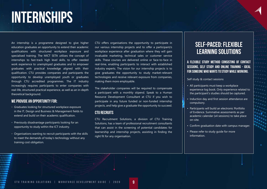# **INTERNSHIPS**

An internship is a programme designed to give higher education graduates an opportunity to extend their academic qualifications with structured workplace exposure and specialised training. The MICT SETA utilizes the concept of internships to fast-track high level skills, to offer needed work experience to unemployed graduates and to empower graduates with practical knowledge aligned with their qualification. CTU provides companies and participants the opportunity to develop unemployed youth or graduates through CTU accredited programmes. The IT industry increasingly requires participants to enter companies with real-life, structured practical experience, as well as an in-depth theoretical background.

#### **WE PROVIDE AN OPPORTUNITY FOR:**

- Graduates looking for structured workplace exposure in the IT, Design and Business & Management fields to extend and build on their academic qualification.
- Previously disadvantage participants looking for an opportunity to study within the ICT industry.
- Organisations wanting to recruit participants with the skills to meet the demands of today's technology without any training cost obligation.

CTU offers organisations the opportunity to participate in our various internship projects and to offer a participant/s workplace experience after graduation where they will gain invaluable marketing, technical sales or customer service skills. These courses are delivered online or face-to-face in real-time, enabling participants to interact with established industry experts. The vision for our internship projects is to give graduates the opportunity to study market-relevant technologies and receive relevant exposure from companies, making them more employable.

The stakeholder companies will be required to compensate a participant with a monthly stipend. Speak to a Human Resource Development Consultant at CTU if you wish to participate in any future funded or non-funded internship projects, and help give a graduate the opportunity to succeed.

#### **CTU RECRUITS**

CTU Recruitment Solutions, a division of CTU Training Solutions, has a team of professional recruitment consultants that can assist in the screening of potential candidates for learnership and internship projects, assisting in finding the right fit for any organisation.

# **SELF-PACED: FLEXIBLE LEARNING SOLUTIONS**

#### **A FLEXIBLE STUDY METHOD CONSISTING OF CONTACT SESSIONS, SELF STUDY AND ONLINE TRAINING - IDEAL FOR SOMEONE WHO WANTS TO STUDY WHILE WORKING.**

Self study & contact sessions

- All participants must keep a workplace experience log book. Only experience related to the participant's studies should be captured.
- Induction day and first session attendance are compulsory.
- Participants will build an electronic Portfolio of Evidence. Summative assessments as per academic calendar (x4 sessions) to take place on-site.
- Confirm graduation date with campus manager.
- Please refer to study guide for more information.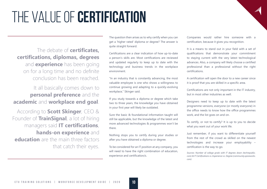# THE VALUE OF **CERTIFICATION**

The debate of **certificates, certifications, diplomas, degrees** and **experience** has been going on for a long time and no definite conclusion has been reached.

# It all basically comes down to **personal preference** and the **academic** and **workplace end goal**.

According to **Scott Skinger**, CEO & Founder of **TrainSignal**, a lot of hiring managers said **IT certifications**, **hands-on experience** and **education** are the main three factors that catch their eyes.

The question then arises as to why certify when you can get a 'higher rated' diploma or degree? The answer is quite straight forward.

Certifications are a clear indication of how up-to-date a person's skills are. Most certifications are reviewed and updated regularly to keep up to date with the technology and business trends in the workplace environment.

"In an industry that is constantly advancing, the most valuable employee is one who shows a willingness to continue growing and adapting to a quickly-evolving workplace," Skinger said.

If you study towards a diploma or degree which take two to three years, the knowledge you have obtained in your first year will likely be outdated.

Sure the basic & foundational information taught will still be applicable, but the knowledge of the latest and more advanced technologies & programmes won't be there.

Nothing stops you to certify during your studies or after you have obtained a diploma or degree.

To be considered for an IT position at any company, you will need to have the right combination of education, experience and certification/s.

Companies would rather hire someone with a certification, because it gives you recognition.

It is a means to stand out in your field with a set of qualifications that demonstrate your commitment to staying current with the very latest technological advances. Also, a company will likely choose a certified professional than a professional without the right certifications.

A certification will open the door to a new career since it is proof that you are skilled in a specific area.

Certifications are not only important in the IT industry, but in most other industries as well.

Designers need to keep up to date with the latest programme versions, everyone (or mostly everyone) in the office needs to know how the office programmes work, and the list goes on and on.

To certify, or not to certify? It is up to you to decide what you want out of your work life.

Just remember, if you want to differentiate yourself from the rest of the crowd as skilled on the newest technologies and increase your employability – certification is the way to go.

*Sources: Number of college grads with IT degrees down (techrepublic. com) & IT Certifications vs. Experience vs. Degree (community.spiceworks. com)*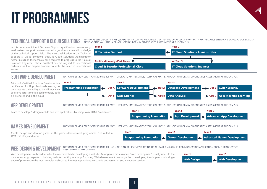# **IT PROGRAMMES**

### **TECHNICAL SUPPORT & CLOUD SOLUTIONS**

In this department the it Technical Support qualification creates entry level systems support professionals with good fundamental knowledge of the technical support field. The next qualification in the Technical Support & Cloud Solutions track, it Cloud Solutions Administrator further builds on the technical skills required to progress to the it Cloud Solutions Engineer. These qualifications are aligned to international certifications that prepare learners to write the selected international exams

NATIONAL SENIOR CERTIFICATE (GRADE 12), INCLUDING AN ACHIEVEMENT RATING OF AT LEAST 3 (40-49%) IN MATHEMATICS LITERACY & LANGUAGE OR ENGLISH FIRST ADDITIONAL LANGUAGE. APPLICATION FORM & DIAGNOSTICS ASSESSMENT AT THE CAMPUS



### **SOFTWARE DEVELOPMENT**

NATIONAL SENIOR CERTIFICATE (GRADE 12). MATH LITERACY / MATHEMATICS/TECHNICAL MATHS. APPLICATION FORM & DIAGNOSTICS ASSESSMENT AT THE CAMPUS

Microsoft Certified Solutions Developer is a certification for IT professionals seeking to demonstrate their ability to build innovative solutions across multiple technologies, both on-premises and in the cloud.



### **APP DEVELOPMENT**

NATIONAL SENIOR CERTIFICATE (GRADE 12). MATH LITERACY / MATHEMATICS/TECHNICAL MATHS. APPLICATION FORM & DIAGNOSTICS ASSESSMENT AT THE CAMPUS

Learn to develop & design mobile and web applications by using JAVA, HTML 5 and more.



# **GAMES DEVELOPMENT**

NATIONAL SENIOR CERTIFICATE (GRADE 12). MATH LITERACY / MATHEMATICS/TECHNICAL MATHS. APPLICATION FORM & DIAGNOSTICS ASSESSMENT AT THE CAMPUS

Create, design and develop games in this games development programme. Get skilled in JAVA, C#, Unity and more...



#### **WEB DESIGN & DEVELOPMENT**  NATIONAL SENIOR CERTIFICATE (GRADE 12), INCLUDING AN ACHIEVEMENT RATING OF AT LEAST 3 (40-49%) IN COMMUNICATION APPLICATION FORM & DIAGNOSTICS ASSESSMENT AT THE CAMPUS

Web development is a broad term for the work involved in developing a website. Among web professionals, "web development" usually refers to the main non-design aspects of building websites: writing mark-up & coding. Web development can range from developing the simplest static single page of plain text to the most complex web-based internet applications, electronic businesses, or social network services.

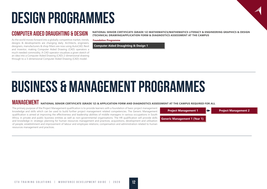# **DESIGN PROGRAMMES**

As the world moves forward into a globally competitive market, trends, designs & developments are changing daily. Architects, engineers, designers, manufacturers & shop fitters are now using AutoCAD, Revit and Inventor, making Computer Aided Drawing (CAD) operators a much needed commodity. A CAD operator visualises a given sketch of an idea into a Computer Aided Drawing (CAD) 2-dimensional drawing through to a 3-dimensional Computer Aided Drawing (CAD) model.

**COMPUTER AIDED DRAUGHTING & DESIGN** MATIONAL SENIOR CERTIFICATE (GRADE 12) MATHEMATICS/MATHEMATICS LITERACY & ENGINEERING GRAPHICS & DESIGN **(TECHNICAL DRAWING)APPLICATION FORM & DIAGNOSTICS ASSESSMENT AT THE CAMPUS**

**Foundation Programme**

**Computer Aided Draughting & Design 1**

# **BUSINESS & MANAGEMENT PROGRAMMES**

# **MANAGEMENT** NATIONAL SENIOR CERTIFICATE (GRADE 12) & APPLICATION FORM AND DIAGNOSTICS ASSESSMENT AT THE CAMPUS REQUIRED FOR ALL

The primary purpose of the Project Management qualification is to provide learners with a foundation of basic project management knowledge and skills which can be used to build further project management related competencies. The Generic Management qualification is aimed at improving the effectiveness and leadership abilities of middle managers in various occupations in South Africa, in private and public business entities as well as non-governmental organisations. The HR qualification will provide skills and knowledge in: strategic planning for human resources management and practices; acquisitions, development and utilisation of people; establishment and improvement of labour and employee relations; compensation and administration related to human resources management and practices.

**Project Management 1 Project Management 2 Generic Management 1 (Year 1)**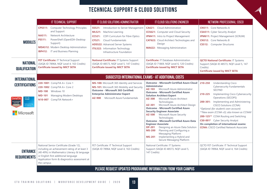# **TECHNICAL SUPPORT & CLOUD SOLUTIONS**

|                                                                                           | IT TECHNICAL SUPPORT                                                                                                                                                                                                                                         | IT CLOUD SOLUTIONS ADMINISTRATOR                                                                                                                                                                                                                                                     | IT CLOUD SOLUTIONS ENGINEER                                                                                                                                                                                                                                                                                                                                                                                                                                                                                                                                                                                                                                                                                                                      | NETWORK PROFESSIONAL: CISCO                                                                                                                                                                                                                                                                                                                                                                                                                                                                        |
|-------------------------------------------------------------------------------------------|--------------------------------------------------------------------------------------------------------------------------------------------------------------------------------------------------------------------------------------------------------------|--------------------------------------------------------------------------------------------------------------------------------------------------------------------------------------------------------------------------------------------------------------------------------------|--------------------------------------------------------------------------------------------------------------------------------------------------------------------------------------------------------------------------------------------------------------------------------------------------------------------------------------------------------------------------------------------------------------------------------------------------------------------------------------------------------------------------------------------------------------------------------------------------------------------------------------------------------------------------------------------------------------------------------------------------|----------------------------------------------------------------------------------------------------------------------------------------------------------------------------------------------------------------------------------------------------------------------------------------------------------------------------------------------------------------------------------------------------------------------------------------------------------------------------------------------------|
| <b>MODULES</b>                                                                            | <b>CPS511:</b> Computer Technology Principles<br>and Support<br>Network Architecture<br><b>NA511:</b><br>PowerShell (OpenEDX-Desktop<br><b>PS511:</b><br>Support)<br><b>MDA512: Modern Desktop Administration</b><br><b>IBP412:</b> IT and Business Planning | Introduction to Server Management<br><b>SS521:</b><br>ML521: Machine Learning<br><b>CC521:</b> COFI Curriculum for Fibre Optics<br><b>CF521:</b> Cloud Fundamentals<br><b>ADS522:</b> Advanced Server Systems<br><b>ITIL522:</b> Information Technology<br>Infrastructure Foundation | <b>CA621:</b> Cloud Administration<br><b>CCS621:</b> Computer and Cloud Security<br><b>IPM411:</b> Intro to Project Management<br><b>CAT622:</b> Cloud Architect Technologies and<br>Design<br><b>MA622:</b> Messaging Administration                                                                                                                                                                                                                                                                                                                                                                                                                                                                                                            | <b>CN511:</b> Core Networks A<br><b>CSA511:</b> Cyber Security Analyst<br><b>IPM611:</b> Project Management (SCRUM)<br><b>CN512:</b> Core Networks B<br><b>CS512:</b> Computer Structures                                                                                                                                                                                                                                                                                                          |
| <b>NATIONAL</b><br><b>QUALIFICATION</b>                                                   | FET Certificate: IT Technical Support<br>(SAQA ID 78964, NQF Level 4, 163 Credits)<br><b>Certificate issued by MICT SETA</b>                                                                                                                                 | National Certificate: IT Systems Support<br>(SAQA ID 48573, NQF Level 5, 147 Credits)<br><b>Certificate issued by MICT SETA</b>                                                                                                                                                      | <b>Certificate: IT Database Administration</b><br>(SAQA ID 71869, NQF Level 6, 120 Credits)<br><b>Certificate issued by MICT SETA</b>                                                                                                                                                                                                                                                                                                                                                                                                                                                                                                                                                                                                            | <b>QCTO National Certificate: IT Systems</b><br>Support (SAQA ID 48573, NQF Level 5, 147<br>Credits)<br><b>Certificate issued by MICT SETA</b>                                                                                                                                                                                                                                                                                                                                                     |
| <b>INTERNATIONAL</b>                                                                      |                                                                                                                                                                                                                                                              | SUGGESTED INTERNATIONAL EXAMS - AT ADDITIONAL COSTS                                                                                                                                                                                                                                  |                                                                                                                                                                                                                                                                                                                                                                                                                                                                                                                                                                                                                                                                                                                                                  |                                                                                                                                                                                                                                                                                                                                                                                                                                                                                                    |
| <b>CERTIFICATIONS</b><br>ababa<br>Kisco<br>ompTIA<br>vetworker<br>Volsderriy<br>Microsoft | 220-1001 CompTIA A+ Core 1<br>220-1002 CompTIA A+ Core 2<br>MD-100 Windows 10<br>Managing Modern Desktops<br><b>MD-101</b><br>N10-007 CompTIA Network+                                                                                                       | MS-100: Microsoft 365 Identity and Services<br>MS-101: Microsoft 365 Mobility and Security<br><b>Outcome - Microsoft 365 Certified:</b><br><b>Enterprise Administrator Expert</b><br>AZ-900 Microsoft Azure Fundamentals                                                             | <b>Outcome - Microsoft Certified Azure Cloud</b><br><b>Administrator</b><br>Microsoft Azure Administrator<br>AZ-103<br><b>Outcome - Microsoft Certified Azure</b><br><b>Solution Architect Expert</b><br>AZ-300<br>Microsoft Azure Architect<br>Technologies<br>Microsoft Azure Architect Design<br>AZ-301<br><b>Outcome - Microsoft Certified Azure</b><br><b>Security Engineer Associate</b><br>Microsoft Azure Security<br><b>AZ-500</b><br>Technologies<br><b>Outcome - Microsoft Certified Azure Data</b><br><b>Engineer Associate</b><br>Designing an Azure Data Solution<br><b>DP-201</b><br>Planning and Configuring a<br><b>MS-200</b><br>Messaging Platform<br>Implementing a Hybrid and<br><b>MS-201</b><br>Secure Messaging Platform | <b>Understanding Cisco</b><br>210-250<br><b>Cybersecurity Fundamentals</b><br><b>SECFND</b><br>Implementing Cisco Cybersecurity<br>210-225<br>Operations (SECOPS)<br>200-301: Implementing and Administering<br>CISCO Solutions (CCNA)<br>*Optional (for student's own account)<br>**New exam (CCNA v3); also known as CCNAX<br>200-125** CCNA Routing and Switching<br>CS0-001* Cyber Security Analyst<br>On completion of international exams:<br><b>CCNA: CISCO Certified Network Associate</b> |
| <b>ENTRANCE</b><br><b>REQUIREMENTS</b>                                                    | National Senior Certificate (Grade 12),<br>including an achievement rating of at least 3<br>(40-49%) in Mathematics Literacy & language<br>or English first additional language<br>Application form & diagnostics assessment at<br>the campus                | FET Certificate: IT Technical Support<br>(SAQA ID 78964, NQF Level 4, 163 Credits)                                                                                                                                                                                                   | National Certificate: IT Systems<br>Support (SAQA ID 48573, NQF Level 5,<br>147 Credits)                                                                                                                                                                                                                                                                                                                                                                                                                                                                                                                                                                                                                                                         | QCTO FET Certificate: IT Technical Support<br>(SAQA ID 78964, NQF Level 4, 164 Credits)                                                                                                                                                                                                                                                                                                                                                                                                            |
|                                                                                           |                                                                                                                                                                                                                                                              |                                                                                                                                                                                                                                                                                      | PLEASE REQUEST UPDATED PROGRAMME INFORMATION FROM YOUR CAMPUS                                                                                                                                                                                                                                                                                                                                                                                                                                                                                                                                                                                                                                                                                    |                                                                                                                                                                                                                                                                                                                                                                                                                                                                                                    |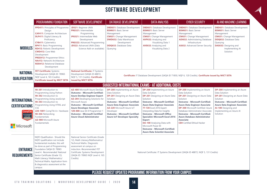# **SOFTWARE DEVELOPMENT**

|                                                                                            | PROGRAMMING FOUNDATION                                                                                                                                                                                                                                                                                                                                                                                  | SOFTWARE DEVELOPMENT                                                                                                                                                                                                                                                                                                                                           | <b>DATABASE DEVELOPMENT</b>                                                                                                                                                                                                                                                                                            | <b>DATA ANALYSIS</b>                                                                                                                                                                                                                                                                                                                                                                                                                                                                                    | <b>CYBER SECURITY</b>                                                                                                                                                                                                                                                                                                                                                                                                 | AI AND MACHINE LEARNING                                                                                                                                                                                                                                    |
|--------------------------------------------------------------------------------------------|---------------------------------------------------------------------------------------------------------------------------------------------------------------------------------------------------------------------------------------------------------------------------------------------------------------------------------------------------------------------------------------------------------|----------------------------------------------------------------------------------------------------------------------------------------------------------------------------------------------------------------------------------------------------------------------------------------------------------------------------------------------------------------|------------------------------------------------------------------------------------------------------------------------------------------------------------------------------------------------------------------------------------------------------------------------------------------------------------------------|---------------------------------------------------------------------------------------------------------------------------------------------------------------------------------------------------------------------------------------------------------------------------------------------------------------------------------------------------------------------------------------------------------------------------------------------------------------------------------------------------------|-----------------------------------------------------------------------------------------------------------------------------------------------------------------------------------------------------------------------------------------------------------------------------------------------------------------------------------------------------------------------------------------------------------------------|------------------------------------------------------------------------------------------------------------------------------------------------------------------------------------------------------------------------------------------------------------|
| <b>MODULES</b>                                                                             | PPD411: Principles of Programme<br>Design<br><b>CAF411:</b> Computer Architecture<br>DLP411: Digital Literacy &<br>Proficiency<br><b>CYB411:</b> Cybernetics<br><b>BP411:</b> Basic Programming<br><b>RD412: Robotic Development</b><br><b>CWD412: Core Web</b><br>Development<br>PRGE412: Programmer Ethics<br><b>NA412: Network Architecture</b><br><b>RDD412: Relational Database</b><br>Development | JD521: Beginner JAVA<br>PRG521: Intermediate<br>Programming<br>IPG521: Intermediate Web<br>Development<br><b>PRG522: Advanced Programming</b><br>JD522: Advanced JAVA (Data<br>Science Add-on available)                                                                                                                                                       | <b>DBD631:</b> Database Development<br><b>BSM631: Basic Server</b><br>Management<br><b>CM631:</b> Change Management<br><b>DWD632: Data Warehouse</b><br>Development<br><b>DDQ632:</b> Database Data<br>Querying                                                                                                        | <b>DBD631:</b> Database Development<br><b>BSM631: Basic Server</b><br>Management<br><b>CM631:</b> Change Management<br><b>AVP632:</b> Analyzing and<br>Visualizing Data 1<br><b>AVE632: Analyzing and</b><br>Visualizing Data 2                                                                                                                                                                                                                                                                         | <b>DBD631:</b> Database Development<br><b>BSM631: Basic Server</b><br>Management<br><b>CM631:</b> Change Management<br><b>ADI632: Administering Database</b><br>Infrastructure<br>AS632: Advanced Server Security                                                                                                                                                                                                     | <b>DBD631:</b> Database Development<br><b>BSM631: Basic Server</b><br>Management<br><b>CM631:</b> Change Management<br><b>DDQ632:</b> Database Data<br>Querying<br>DAS632: Designing and<br>Implementing AI<br>Solution                                    |
| <b>NATIONAL</b><br><b>QUALIFICATION</b>                                                    | FET Certificate: Systems<br>Development (SAQA ID: 78965<br>NQF Level 4, 165 Credits).<br><b>Certificate issued by MICT SETA</b>                                                                                                                                                                                                                                                                         | <b>National Certificate: IT Systems</b><br>Development (SAQA ID 48872,<br>NQF 5, 131 Credits). Certificate<br>issued by MICT SETA                                                                                                                                                                                                                              |                                                                                                                                                                                                                                                                                                                        |                                                                                                                                                                                                                                                                                                                                                                                                                                                                                                         | Certificate: IT Database Development (SAQA ID 71850, NQF 6, 120 Credits). Certificate issued by MICT SETA                                                                                                                                                                                                                                                                                                             |                                                                                                                                                                                                                                                            |
|                                                                                            |                                                                                                                                                                                                                                                                                                                                                                                                         |                                                                                                                                                                                                                                                                                                                                                                |                                                                                                                                                                                                                                                                                                                        | SUGGESTED INTERNATIONAL EXAMS - AT ADDITIONAL COSTS                                                                                                                                                                                                                                                                                                                                                                                                                                                     |                                                                                                                                                                                                                                                                                                                                                                                                                       |                                                                                                                                                                                                                                                            |
| <b>INTERNATIONAL</b><br><b>CERTIFICATIONS</b><br><b>CompTIA</b><br>AUTHORIZED<br>Microsoft | 98-381 Introduction to<br>Programming Using Python<br>98-382 Introduction to<br>Programming Using JavaScript<br>98-383 Introduction to<br>Programming Using HTML and<br>CSS<br>220-1001 CompTIA A+ Hardware<br>98-366 Networking<br>Fundamentals<br>AZ-900 Microsoft Azure<br>Fundamentals                                                                                                              | AZ-400 Microsoft Azure DevOps<br><b>Outcome - Microsoft Certified:</b><br><b>Azure DevOps Engineer Expert</b><br>AZ-204 Developing Solutions for<br>Microsoft Azure<br><b>Outcome - Microsoft Certified:</b><br><b>Azure Developer Associate</b><br>1Z0-808 Java SE 8 Programmer 1<br><b>Outcome - Microsoft Certified</b><br><b>Azure Cloud Administrator</b> | <b>DP-200</b> Implementing an Azure<br>Data Solution<br><b>DP-201</b> Designing an Azure Data<br>Solution<br><b>Outcome - Microsoft Certified:</b><br><b>Azure Data Engineer Associate</b><br>AZ-220 Microsoft Azure IoT<br>Developer<br><b>Outcome - Microsoft Certified:</b><br><b>Azure IoT Developer Specialty</b> | <b>DP-200</b> Implementing an Azure<br>Data Solution<br><b>DP-201</b> Designing an Azure Data<br>Solution<br><b>Outcome - Microsoft Certified:</b><br><b>Azure Data Engineer Associate</b><br>77-728 Excel 2016 Expert:<br>Interpreting Data for Insights<br><b>Outcome - Microsoft Office</b><br><b>Specialist: Microsoft Excel 2016</b><br><b>Expert</b><br><b>DA-100</b> Analysing Data with<br>Microsoft Power BI<br><b>Outcome - Microsoft Certified:</b><br><b>Azure Data Scientist Associate</b> | <b>DP-200</b> Implementing an Azure<br>Data Solution<br><b>DP-201</b> Designing an Azure Data<br>Solution<br><b>Outcome - Microsoft Certified:</b><br><b>Azure Data Engineer Associate</b><br><b>DP-300</b> Microsoft Certified: Azure<br>Database Administrator Associate<br><b>Outcome - Microsoft Certified:</b><br><b>Azure Database Administrator</b><br><b>Associate</b><br><b>CEH</b> Certified Ethical Hacker | <b>DP-200</b> Implementing an Azure<br>Data Solution<br><b>DP-201</b> Designing an Azure Data<br>Solution<br><b>Outcome - Microsoft Certified:</b><br><b>Azure Data Engineer Associate</b><br>AI-100 Designing and<br>Implementing an Azure AI<br>Solution |
| <b>ENTRANCE</b><br><b>REQUIREMENTS</b>                                                     | NQF3 Qualification. Should the<br>NQF3 qualification not include<br>fundamental modules, this will<br>be done as part of Programming<br>Foundation SAQA ID: 78965<br>Level 4. Recommended: National<br>Senior Certificate (Grade 12).<br>Math Literacy/ Mathematics/<br>Technical Maths. Application form<br>& diagnostics assessment at the<br>campus                                                  | National Senior Certificate (Grade<br>12), Math Literacy/Mathematics/<br>Technical Maths. Diagnostic<br>assessment at campus on<br>induction. Recommended: FET<br>Certificate: Systems Development<br>(SAQA ID: 78965 NQF Level 4, 165<br>Credits)                                                                                                             | National Certificate: IT Systems Development (SAQA ID 48872, NQF 5, 131 Credits)<br>PLEASE REQUEST UPDATED PROGRAMME INFORMATION FROM YOUR CAMPUS                                                                                                                                                                      |                                                                                                                                                                                                                                                                                                                                                                                                                                                                                                         |                                                                                                                                                                                                                                                                                                                                                                                                                       |                                                                                                                                                                                                                                                            |
|                                                                                            |                                                                                                                                                                                                                                                                                                                                                                                                         |                                                                                                                                                                                                                                                                                                                                                                |                                                                                                                                                                                                                                                                                                                        |                                                                                                                                                                                                                                                                                                                                                                                                                                                                                                         |                                                                                                                                                                                                                                                                                                                                                                                                                       |                                                                                                                                                                                                                                                            |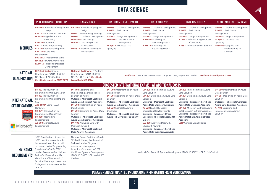# **DATA SCIENCE**

|                                                                                                | PROGRAMMING FOUNDATION                                                                                                                                                                                                                                                                                                                                                                                                      | <b>DATA SCIENCE</b>                                                                                                                                                                                                                                                                                                                                                                                                                                                                         | <b>DATABASE DEVELOPMENT</b>                                                                                                                                                                                                                                                                                            | <b>DATA ANALYSIS</b>                                                                                                                                                                                                                                                                                                                                                                                                                                                                             | <b>CYBER SECURITY</b>                                                                                                                                                                                                                                                                                                                                                                                                  | AI AND MACHINE LEARNING                                                                                                                                                                                                                                    |
|------------------------------------------------------------------------------------------------|-----------------------------------------------------------------------------------------------------------------------------------------------------------------------------------------------------------------------------------------------------------------------------------------------------------------------------------------------------------------------------------------------------------------------------|---------------------------------------------------------------------------------------------------------------------------------------------------------------------------------------------------------------------------------------------------------------------------------------------------------------------------------------------------------------------------------------------------------------------------------------------------------------------------------------------|------------------------------------------------------------------------------------------------------------------------------------------------------------------------------------------------------------------------------------------------------------------------------------------------------------------------|--------------------------------------------------------------------------------------------------------------------------------------------------------------------------------------------------------------------------------------------------------------------------------------------------------------------------------------------------------------------------------------------------------------------------------------------------------------------------------------------------|------------------------------------------------------------------------------------------------------------------------------------------------------------------------------------------------------------------------------------------------------------------------------------------------------------------------------------------------------------------------------------------------------------------------|------------------------------------------------------------------------------------------------------------------------------------------------------------------------------------------------------------------------------------------------------------|
| <b>MODULES</b>                                                                                 | <b>PPD411: Principles of Programme</b><br>Design<br><b>CA411:</b> Computer Architecture<br><b>DLP411:</b> Digital Literacy &<br>Proficiency<br><b>CYB411:</b> Cybernetics<br><b>BP411:</b> Basic Programming<br><b>RD412: Robotic Development</b><br><b>CWD412: Core Web</b><br>Development<br><b>PRGE412: Programmer Ethics</b><br><b>NA412: Network Architecture</b><br><b>RDD412: Relational Database</b><br>Development | PPD521: Principles of program<br>Design<br><b>IPG521: Internet Programming</b><br><b>DBD521:</b> Database Development<br>DAM522: Data Mining<br><b>DAV522:</b> Data Analysis and<br>Visualisation<br><b>MLD522:</b> Machine Learning in<br>Data Science                                                                                                                                                                                                                                     | <b>DBD631:</b> Database Development<br><b>BSM631: Basic Server</b><br>Management<br><b>CM631:</b> Change Management<br><b>DWD632: Data Warehouse</b><br>Development<br><b>DDQ632: Database Data</b><br>Querying                                                                                                        | <b>DBD631:</b> Database Development<br><b>BSM631: Basic Server</b><br>Management<br><b>CM631:</b> Change Management<br><b>AVP632:</b> Analyzing and<br>Visualizing Data 1<br><b>AVE632:</b> Analyzing and<br>Visualizing Data 2                                                                                                                                                                                                                                                                  | <b>DBD631:</b> Database Development<br><b>BSM631: Basic Server</b><br>Management<br><b>CM631:</b> Change Management<br><b>ADI632: Administering Database</b><br>Infrastructure<br>AS632: Advanced Server Security                                                                                                                                                                                                      | <b>DBD631:</b> Database Development<br><b>BSM631: Basic Server</b><br>Management<br><b>CM631:</b> Change Management<br><b>DDQ632:</b> Database Data<br>Querying<br><b>DAS632:</b> Designing and<br>Implementing AI<br>Solution                             |
| <b>NATIONAL</b><br><b>QUALIFICATION</b>                                                        | FET Certificate: Systems<br>Development (SAQA ID: 78965<br>NQF Level 4, 165 Credits).<br><b>Certificate issued by MICT SETA</b>                                                                                                                                                                                                                                                                                             | <b>National Certificate: IT Systems</b><br>Development (SAQA ID 48872,<br>NQF 5, 131 Credits). Certificate<br>issued by MICT SETA                                                                                                                                                                                                                                                                                                                                                           |                                                                                                                                                                                                                                                                                                                        | Certificate: IT Database Development (SAQA ID 71850, NQF 6, 120 Credits). Certificate issued by MICT SETA                                                                                                                                                                                                                                                                                                                                                                                        |                                                                                                                                                                                                                                                                                                                                                                                                                        |                                                                                                                                                                                                                                                            |
|                                                                                                |                                                                                                                                                                                                                                                                                                                                                                                                                             |                                                                                                                                                                                                                                                                                                                                                                                                                                                                                             |                                                                                                                                                                                                                                                                                                                        | SUGGESTED INTERNATIONAL EXAMS - AT ADDITIONAL COSTS                                                                                                                                                                                                                                                                                                                                                                                                                                              |                                                                                                                                                                                                                                                                                                                                                                                                                        |                                                                                                                                                                                                                                                            |
| <b>INTERNATIONAL</b><br><b>CERTIFICATIONS</b><br>CompTIA<br>ALTHORIZED<br>PARTNER<br>Microsoft | 98-382 Introduction to<br>Programming Using JavaScript<br>98-383 Introduction to<br>Programming Using HTML and<br><b>CSS</b><br>220-1001* CompTIA A+<br>Hardware<br>98-381* Introduction to<br>Programming Using Python<br>98-366* Networking<br>Fundamentals<br>AZ-900 Microsoft Azure<br>Fundamentals                                                                                                                     | <b>DP-100</b> Designing and<br>Implementing a Data Science<br>Solution on Azure<br><b>Outcome: Microsoft Certified:</b><br><b>Azure Data Scientist Associate</b><br><b>DP-200</b> Implementing an Azure<br>Data Solution<br><b>DP-201</b> Designing an Azure Data<br>Solution<br><b>Outcome - Microsoft Certified:</b><br><b>Azure Data Engineer Associate</b><br>DA-100 Analyzing Data with<br>Microsoft Power BI<br><b>Outcome: Microsoft Certified:</b><br><b>Data Analyst Associate</b> | <b>DP-200</b> Implementing an Azure<br>Data Solution<br><b>DP-201</b> Designing an Azure Data<br>Solution<br><b>Outcome - Microsoft Certified:</b><br><b>Azure Data Engineer Associate</b><br>AZ-220 Microsoft Azure IoT<br>Developer<br><b>Outcome - Microsoft Certified:</b><br><b>Azure IoT Developer Specialty</b> | <b>DP-200</b> Implementing an Azure<br>Data Solution<br><b>DP-201</b> Designing an Azure Data<br>Solution<br><b>Outcome - Microsoft Certified:</b><br><b>Azure Data Engineer Associate</b><br>77-728 Excel 2016 Expert:<br>Interpreting Data for Insights<br><b>Outcome - Microsoft Office</b><br><b>Specialist: Microsoft Excel 2016</b><br><b>Expert</b><br>DA-100 Analysing Data with<br>Microsoft Power BI<br><b>Outcome - Microsoft Certified:</b><br><b>Azure Data Scientist Associate</b> | <b>DP-200</b> Implementing an Azure<br>Data Solution<br><b>DP-201</b> Designing an Azure Data<br>Solution<br><b>Outcome - Microsoft Certified:</b><br><b>Azure Data Engineer Associate</b><br><b>DP-300</b> Microsoft Certified: Azure<br>Database Administrator Associate<br><b>Outcome - Microsoft Certified:</b><br><b>Azure Database Administrator</b><br><b>Associate</b><br><b>CEH*</b> Certified Ethical Hacker | <b>DP-200</b> Implementing an Azure<br>Data Solution<br><b>DP-201</b> Designing an Azure Data<br>Solution<br><b>Outcome - Microsoft Certified:</b><br><b>Azure Data Engineer Associate</b><br>AI-100 Designing and<br>Implementing an Azure AI<br>Solution |
| <b>ENTRANCE</b><br><b>REQUIREMENTS</b>                                                         | NQF3 Qualification. Should the<br>NQF3 qualification not include<br>fundamental modules, this will<br>be done as part of Programming<br>Foundation SAQA ID: 78965<br>Level 4. Recommended: National<br>Senior Certificate (Grade 12).<br>Math Literacy/ Mathematics/<br>Technical Maths. Application form<br>& diagnostics assessment at the<br>campus                                                                      | National Senior Certificate (Grade<br>12), Math Literacy/Mathematics/<br>Technical Maths. Diagnostic<br>assessment at campus on<br>induction. Recommended: FET<br>Certificate: Systems Development<br>(SAQA ID: 78965 NQF Level 4, 165<br>Credits)                                                                                                                                                                                                                                          | National Certificate: IT Systems Development (SAQA ID 48872, NQF 5, 131 Credits)                                                                                                                                                                                                                                       |                                                                                                                                                                                                                                                                                                                                                                                                                                                                                                  |                                                                                                                                                                                                                                                                                                                                                                                                                        |                                                                                                                                                                                                                                                            |
|                                                                                                | PLEASE REQUEST UPDATED PROGRAMME INFORMATION FROM YOUR CAMPUS                                                                                                                                                                                                                                                                                                                                                               |                                                                                                                                                                                                                                                                                                                                                                                                                                                                                             |                                                                                                                                                                                                                                                                                                                        |                                                                                                                                                                                                                                                                                                                                                                                                                                                                                                  |                                                                                                                                                                                                                                                                                                                                                                                                                        |                                                                                                                                                                                                                                                            |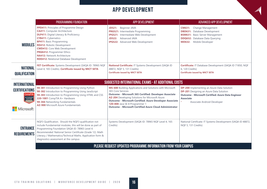# **APP DEVELOPMENT**

|                                                                         | PROGRAMMING FOUNDATION                                                                                                                                                                                                                                                                                                                                                                                   | APP DEVELOPMENT                                                                                                                                                                                                                                                                                                                                             | ADVANCED APP DEVELOPMENT                                                                                                                                                                                     |  |  |
|-------------------------------------------------------------------------|----------------------------------------------------------------------------------------------------------------------------------------------------------------------------------------------------------------------------------------------------------------------------------------------------------------------------------------------------------------------------------------------------------|-------------------------------------------------------------------------------------------------------------------------------------------------------------------------------------------------------------------------------------------------------------------------------------------------------------------------------------------------------------|--------------------------------------------------------------------------------------------------------------------------------------------------------------------------------------------------------------|--|--|
| <b>MODULES</b>                                                          | PPD411: Principles of Programme Design<br><b>CA411:</b> Computer Architecture<br><b>DLP411:</b> Digital Literacy & Proficiency<br><b>CYB411:</b> Cybernetics<br><b>BP411:</b> Basic Programming<br><b>RD412: Robotic Development</b><br><b>CWD412:</b> Core Web Development<br><b>PRGE412: Programmer Ethics</b><br><b>NA412: Network Architecture</b><br><b>RDD412: Relational Database Development</b> | Beginner JAVA<br><b>JD521:</b><br>PRG521: Intermediate Programming<br>IPG521: Intermediate Web Development<br><b>Advanced JAVA</b><br><b>JD522:</b><br><b>IPG522:</b> Advanced Web Development                                                                                                                                                              | Change Management<br><b>CM631:</b><br><b>DBD631:</b> Database Development<br><b>BSM631:</b> Basic Server Management<br><b>DDQ632:</b> Database Data Querying<br><b>MD632:</b><br>Mobile Developer            |  |  |
| <b>NATIONAL</b><br><b>QUALIFICATION</b>                                 | FET Certificate: Systems Development (SAQA ID: 78965 NQF<br>Level 4, 165 Credits). Certificate issued by MICT SETA                                                                                                                                                                                                                                                                                       | National Certificate: IT Systems Development (SAQA ID<br>48872, NQF 5, 131 Credits)<br><b>Certificate issued by MICT SETA</b>                                                                                                                                                                                                                               | Certificate: IT Database Development (SAQA ID 71850, NQF<br>6, 120 Credits)<br><b>Certificate issued by MICT SETA</b>                                                                                        |  |  |
| <b>INTERNATIONAL</b>                                                    |                                                                                                                                                                                                                                                                                                                                                                                                          | SUGGESTED INTERNATIONAL EXAMS - AT ADDITIONAL COSTS                                                                                                                                                                                                                                                                                                         |                                                                                                                                                                                                              |  |  |
| <b>CERTIFICATIONS</b><br><b>CompTIA</b><br>UTHORIZE<br><b>Microsoft</b> | 98-381 Introduction to Programming Using Python<br>98-382 Introduction to Programming Using JavaScript<br>98-383 Introduction to Programming Using HTML and CSS<br>220-1001 CompTIA A+ Hardware<br>98-366 Networking Fundamentals<br>AZ-900 Microsoft Azure Fundamentals                                                                                                                                 | MS-600 Building Applications and Solutions with Microsoft<br>365 Core Services<br>Outcome - Microsoft 365 Certified: Developer Associate<br>AZ-204 Developing Solutions for Microsoft Azure<br>Outcome - Microsoft Certified: Azure Developer Associate<br>1Z0-808 Java SE 8 Programmer 1<br><b>Outcome - Microsoft Certified Azure Cloud Administrator</b> | DP-200 Implementing an Azure Data Solution<br><b>DP-201</b> Designing an Azure Data Solution<br><b>Outcome - Microsoft Certified: Azure Data Engineer</b><br><b>Associate</b><br>Associate Android Developer |  |  |
| <b>ENTRANCE</b><br><b>REQUIREMENTS</b>                                  | NQF3 Qualification. Should the NQF3 qualification not<br>include Fundamental modules, this will be done as part of<br>Programming Foundation SAQA ID: 78965 Level 4.<br>Recommended: National Senior Certificate (Grade 12). Math<br>Literacy / Mathematics/Technical Maths. Application form &<br>diagnostics assessment at the campus                                                                  | Systems Development (SAQA ID: 78965 NQF Level 4, 165<br>Credits)                                                                                                                                                                                                                                                                                            | National Certificate: IT Systems Development (SAQA ID 48872,<br>NQF 5, 131 Credits)                                                                                                                          |  |  |
|                                                                         | PLEASE REQUEST UPDATED PROGRAMME INFORMATION FROM YOUR CAMPUS                                                                                                                                                                                                                                                                                                                                            |                                                                                                                                                                                                                                                                                                                                                             |                                                                                                                                                                                                              |  |  |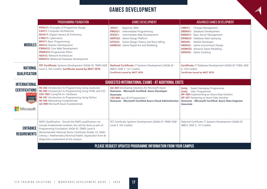# **GAMES DEVELOPMENT**

|                                                       | PROGRAMMING FOUNDATION                                                                                                                                                                                                                                                                                                                                                                                          | <b>GAMES DEVELOPMENT</b>                                                                                                                                                                                                                                                           | ADVANCED GAMES DEVELOPMENT                                                                                                                                                                                                                                                                                           |
|-------------------------------------------------------|-----------------------------------------------------------------------------------------------------------------------------------------------------------------------------------------------------------------------------------------------------------------------------------------------------------------------------------------------------------------------------------------------------------------|------------------------------------------------------------------------------------------------------------------------------------------------------------------------------------------------------------------------------------------------------------------------------------|----------------------------------------------------------------------------------------------------------------------------------------------------------------------------------------------------------------------------------------------------------------------------------------------------------------------|
| <b>MODULES</b>                                        | <b>PPD411:</b> Principles of Programme Design<br><b>CA411:</b> Computer Architecture<br><b>DLP411:</b> Digital Literacy & Proficiency<br><b>CYB411:</b> Cybernetics<br><b>BP411: Basic Programming</b><br><b>RD412: Robotic Development</b><br><b>CWD412:</b> Core Web Development<br><b>PRGE412: Programmer Ethics</b><br><b>NA412: Network Architecture</b><br><b>RDD412: Relational Database Development</b> | <b>JD521:</b><br>Beginner JAVA<br>Intermediate Programming<br><b>PRG521:</b><br>Intermediate Web Development<br><b>IPG521:</b><br>Game Design Platform<br><b>GDP522:</b><br>Game Design Theory and Story telling<br><b>GTS522:</b><br><b>GAM522:</b> Game Digital Art and Modeling | Change Management<br><b>CM631:</b><br><b>DBD631:</b> Database Development<br><b>BSM631:</b> Basic Server Management<br><b>DDQ632:</b> Database Data Querying<br>Mobile Developer<br><b>MD632:</b><br><b>GED632:</b> Game environment Design<br><b>AGM632:</b> Advance Game Modeling<br><b>GDS632:</b> Game Scripting |
| <b>NATIONAL</b><br><b>QUALIFICATION</b>               | FET Certificate: Systems Development (SAQA ID: 78965 NQF<br>Level 4, 165 Credits). Certificate issued by MICT SETA                                                                                                                                                                                                                                                                                              | National Certificate: IT Systems Development (SAQA ID<br>48872, NQF 5, 131 Credits)<br><b>Certificate issued by MICT SETA</b>                                                                                                                                                      | Certificate: IT Database Development (SAQA ID 71850, NQF<br>6, 120 Credits)<br><b>Certificate issued by MICT SETA</b>                                                                                                                                                                                                |
| <b>INTERNATIONAL</b>                                  |                                                                                                                                                                                                                                                                                                                                                                                                                 | SUGGESTED INTERNATIONAL EXAMS - AT ADDITIONAL COSTS                                                                                                                                                                                                                                |                                                                                                                                                                                                                                                                                                                      |
| <b>CERTIFICATIONS</b><br><b>CompTIA</b><br>ALTHORIZED | 98-382 Introduction to Programming Using JavaScript<br>98-383 Introduction to Programming Using HTML and CSS<br>220-1001 CompTIA A+ Hardware<br>98-381 Introduction to Programming Using Python<br>98-366 Networking Fundamentals<br>AZ-900 Microsoft Azure Fundamentals                                                                                                                                        | AZ-204 Developing Solutions for Microsoft Azure<br><b>Outcome - Microsoft Certified: Azure Developer</b><br><b>Associate</b><br>1Z0-808 Java SE 8 Programmer 1<br><b>Outcome - Microsoft Certified Azure Cloud Administrator</b>                                                   | <b>Expert Gameplay Programmer</b><br><b>Unity</b><br><b>Unity</b> User: Programmer<br><b>DP-200</b> Implementing an Azure Data Solution<br><b>DP-201</b> Designing an Azure Data Solution<br><b>Outcome - Microsoft Certified: Azure Data Engineer</b><br><b>Associate</b>                                           |
| Microsoft                                             |                                                                                                                                                                                                                                                                                                                                                                                                                 |                                                                                                                                                                                                                                                                                    |                                                                                                                                                                                                                                                                                                                      |
| <b>ENTRANCE</b><br><b>REQUIREMENTS</b>                | NQF3 Qualification. Should the NQF3 qualification not<br>include fundamental modules, this will be done as part of<br>Programming Foundation SAQA ID: 78965 Level 4.<br>Recommended: National Senior Certificate (Grade 12). Math<br>Literacy / Mathematics/Technical Maths. Application form &<br>diagnostics assessment at the campus                                                                         | FET Certificate: Systems Development (SAQA ID: 78965 NQF<br>Level 4, 165 Credits)                                                                                                                                                                                                  | National Certificate: IT Systems Development (SAQA ID<br>48872, NQF 5, 131 Credits)                                                                                                                                                                                                                                  |
|                                                       |                                                                                                                                                                                                                                                                                                                                                                                                                 | PLEASE REQUEST UPDATED PROGRAMME INFORMATION FROM YOUR CAMPUS                                                                                                                                                                                                                      |                                                                                                                                                                                                                                                                                                                      |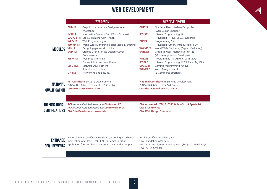# **WEB DEVELOPMENT**

|                                               | <b>WEB DESIGN</b>                                                                                                                                                                                                                                                                                                                                                                                                                                                                                                                                                                                        | <b>WEB DEVELOPMENT</b>                                                                                                                                                                                                                                                                                                                                                                                                                                                                                                                                                                                                                      |  |
|-----------------------------------------------|----------------------------------------------------------------------------------------------------------------------------------------------------------------------------------------------------------------------------------------------------------------------------------------------------------------------------------------------------------------------------------------------------------------------------------------------------------------------------------------------------------------------------------------------------------------------------------------------------------|---------------------------------------------------------------------------------------------------------------------------------------------------------------------------------------------------------------------------------------------------------------------------------------------------------------------------------------------------------------------------------------------------------------------------------------------------------------------------------------------------------------------------------------------------------------------------------------------------------------------------------------------|--|
| <b>MODULES</b>                                | Graphic User Interface Design (Adobe<br><b>GUI411:</b><br>Photoshop)<br>Information Systems 1A (ICT for Business)<br><b>INS411:</b><br>LOGIC 411: Logical Thinking with Python<br>Web Programming A<br><b>WEP411:</b><br>World Wide Marketing (Social Media Marketing)<br><b>WWM411:</b><br>Designing games with Unity<br><b>VR412:</b><br>Graphic User Interface Design (Adobe<br><b>GUI412:</b><br>Dreamweaver)<br>Web Programming B<br><b>WEP412:</b><br>(Server Admin and WordPress)<br>Software Development<br><b>SWD412:</b><br>(Introduction to Java)<br>Networking and Security<br><b>ON412:</b> | <b>GUI521:</b><br>Graphical User Interface Design 2A<br>(Web Design Specialist)<br>Internet Programming 1A<br><b>IPG 521:</b><br>(Advanced HTML5, CSS3, JavaScript)<br>Programming 1A<br><b>PG521:</b><br>(Advanced Python/ Introduction to C#)<br>World Wide Marketing (Digital Marketing)<br><b>WWM521:</b><br>Graphical User Interface Design 2B<br><b>GUI522:</b><br>(Mobile Application Developer)<br>Programming 1B (ASP.Net with MVC)<br><b>PG522:</b><br>Internet Programming 1B (PHP and MySQL)<br><b>IPG522:</b><br>Gaming Programming (Unity)<br><b>GPG522:</b><br>Web Management B<br><b>WEM522:</b><br>(E-Commerce Specialist) |  |
| <b>NATIONAL</b><br><b>QUALIFICATION</b>       | FET Certificate: Systems Development<br>(SAQA ID: 78965 NQF Level 4, 165 Credits)<br><b>Certificate issued by MICT SETA</b>                                                                                                                                                                                                                                                                                                                                                                                                                                                                              | National Certificate: IT Systems Development<br>(SAQA ID 48872, NQF 5, 161 Credits)<br><b>Certificate issued by MICT SETA</b>                                                                                                                                                                                                                                                                                                                                                                                                                                                                                                               |  |
|                                               |                                                                                                                                                                                                                                                                                                                                                                                                                                                                                                                                                                                                          |                                                                                                                                                                                                                                                                                                                                                                                                                                                                                                                                                                                                                                             |  |
| <b>INTERNATIONAL</b><br><b>CERTIFICATIONS</b> | <b>ACA</b> (Adobe Certified Associate) Photoshop CC<br><b>ACA</b> (Adobe Certified Associate) Dreamweaver CC<br><b>CIW Site Development Associate</b>                                                                                                                                                                                                                                                                                                                                                                                                                                                    | CIW Advanced HTML5, CSS3 & JavaScript Specialist<br><b>CIW E-Commerce</b><br><b>CIW Web Design Specialist</b>                                                                                                                                                                                                                                                                                                                                                                                                                                                                                                                               |  |
| <b>ENTRANCE</b><br><b>REQUIREMENTS</b>        | National Senior Certificate (Grade 12), including an achieve-<br>ment rating of at least 3 (40-49%) in Communication<br>Application form & diagnostics assessment at the campus                                                                                                                                                                                                                                                                                                                                                                                                                          | Adobe Certified Associate (ACA)<br><b>CIW Foundation Associate</b><br>FET Certificate: Systems Development (SAQA ID: 78965 NQF<br>Level 4, 165 Credits)                                                                                                                                                                                                                                                                                                                                                                                                                                                                                     |  |
|                                               |                                                                                                                                                                                                                                                                                                                                                                                                                                                                                                                                                                                                          |                                                                                                                                                                                                                                                                                                                                                                                                                                                                                                                                                                                                                                             |  |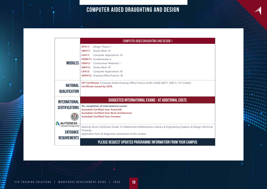# **COMPUTER AIDED DRAUGHTING AND DESIGN**

|                                         | <b>COMPUTER AIDED DRAUGHTING AND DESIGN 1</b>                                                                                       |  |  |  |
|-----------------------------------------|-------------------------------------------------------------------------------------------------------------------------------------|--|--|--|
|                                         | <b>DT411:</b><br>Design Theory 1                                                                                                    |  |  |  |
|                                         | Studio Work 1A<br><b>SW411:</b>                                                                                                     |  |  |  |
|                                         | <b>Computer Applications 1A</b><br><b>CA411:</b>                                                                                    |  |  |  |
|                                         | <b>FDM411:</b> Fundamentals A                                                                                                       |  |  |  |
| <b>MODULES</b>                          | <b>CM412:</b> Construction Materials 1                                                                                              |  |  |  |
|                                         | <b>SW412:</b> Studio Work 1B                                                                                                        |  |  |  |
|                                         | <b>CA412:</b><br><b>Computer Applications 1B</b>                                                                                    |  |  |  |
|                                         | <b>DOP412:</b> Drawing Office Practice 1B                                                                                           |  |  |  |
| <b>NATIONAL</b><br><b>QUALIFICATION</b> | FET Certificate: Computer Aided Drawing Office Practice (CAD) (SAQA 66071, NQF 4, 131 Credits)<br><b>Certificate issued by CETA</b> |  |  |  |
| <b>INTERNATIONAL</b>                    | SUGGESTED INTERNATIONAL EXAMS - AT ADDITIONAL COSTS                                                                                 |  |  |  |
| <b>CERTIFICATIONS</b>                   | On completion of international exams:                                                                                               |  |  |  |
|                                         | <b>Autodesk Certified User AutoCAD</b>                                                                                              |  |  |  |
|                                         | <b>Autodesk Certified User Revit Architecture</b><br><b>Autodesk Certified User Inventor</b>                                        |  |  |  |
| <b>AUTODESK</b>                         |                                                                                                                                     |  |  |  |
| <b>Authorized Training Center</b>       | National Senior Certificate (Grade 12) Mathematics/Mathematics Literacy & Engineering Graphics & Design (Technical                  |  |  |  |
| <b>ENTRANCE</b>                         | Drawing)                                                                                                                            |  |  |  |
|                                         | Application form & diagnostics assessment at the campus                                                                             |  |  |  |
|                                         |                                                                                                                                     |  |  |  |
| <b>REQUIREMENTS</b>                     | PLEASE REQUEST UPDATED PROGRAMME INFORMATION FROM YOUR CAMPUS                                                                       |  |  |  |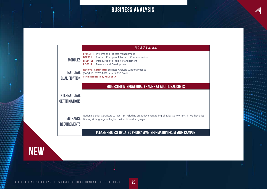# **BUSINESS ANALYSIS**

|                                               | <b>BUSINESS ANALYSIS</b>                                                                                                                                                                                                  |  |  |  |
|-----------------------------------------------|---------------------------------------------------------------------------------------------------------------------------------------------------------------------------------------------------------------------------|--|--|--|
| <b>MODULES</b>                                | Systems and Process Management<br><b>SPM511:</b><br>Business Principles, Ethics and Communication<br><b>BPE511:</b><br><b>IPM412:</b><br>Introduction to Project Management<br>Research and Development<br><b>RDE512:</b> |  |  |  |
| <b>NATIONAL</b><br><b>QUALIFICATION</b>       | National Certificate: Business Analysis Support Practice<br>(SAQA ID: 63769 NQF Level 5, 138 Credits)<br><b>Certificate issued by MICT SETA</b>                                                                           |  |  |  |
|                                               | SUGGESTED INTERNATIONAL EXAMS - AT ADDITIONAL COSTS                                                                                                                                                                       |  |  |  |
| <b>INTERNATIONAL</b><br><b>CERTIFICATIONS</b> |                                                                                                                                                                                                                           |  |  |  |
| <b>ENTRANCE</b><br><b>REQUIREMENTS</b>        | National Senior Certificate (Grade 12), including an achievement rating of at least 3 (40-49%) in Mathematics<br>Literacy & language or English first additional language                                                 |  |  |  |
|                                               | <b>PLEASE REQUEST UPDATED PROGRAMME INFORMATION FROM YOUR CAMPUS</b>                                                                                                                                                      |  |  |  |

**new**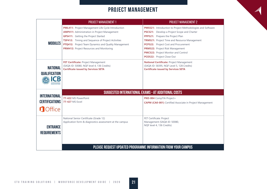# **PROJECT MANAGEMENT**

|                                         | <b>PROJECT MANAGEMENT 1</b>                                                                                                                                                                                                                                                                                                           | <b>PROJECT MANAGEMENT 2</b>                                                                                                                                                                                                                                                                                                                         |
|-----------------------------------------|---------------------------------------------------------------------------------------------------------------------------------------------------------------------------------------------------------------------------------------------------------------------------------------------------------------------------------------|-----------------------------------------------------------------------------------------------------------------------------------------------------------------------------------------------------------------------------------------------------------------------------------------------------------------------------------------------------|
| <b>MODULES</b>                          | <b>PML411:</b> Project Management Life Cycle Introduction<br><b>AMP411:</b> Administration in Project Management<br><b>GPS411:</b> Getting the Project Started<br><b>TSP412:</b> Timing and Sequence of Project Activities<br>PTQ412: Project Team Dynamics and Quality Management<br><b>PRM412:</b> Project Resources and Monitoring | PMS521: Introduction to Project Methodologies and Software<br>PSC521: Develop a Project Scope and Charter<br>PPP521: Prepare the Project Plan<br>TRM521: Project Time and Resource Management<br>PCP522: Project Cost and Procurement<br>PRM522: Project Risk Management<br><b>PMC522:</b> Project Monitor and Control<br>PCO522: Project Close Out |
| <b>NATIONAL</b><br><b>QUALIFICATION</b> | FET Certificate: Project Management<br>(SAQA ID: 50080, NQF level 4, 136 Credits)<br><b>Certificate issued by Services SETA</b>                                                                                                                                                                                                       | National Certificate: Project Management<br>(SAQA ID: 58395, NQF Level 5, 128 Credits)<br><b>Certificate issued by Services SETA</b>                                                                                                                                                                                                                |
| <b>INTERNATIONAL</b>                    |                                                                                                                                                                                                                                                                                                                                       | SUGGESTED INTERNATIONAL EXAMS - AT ADDITIONAL COSTS                                                                                                                                                                                                                                                                                                 |
| <b>CERTIFICATIONS</b>                   | 77-422 MS PowerPoint<br><b>77-427 MS Excel</b>                                                                                                                                                                                                                                                                                        | PKO-004 CompTIA Project+<br><b>CAPM (CA0-001)</b> Certified Associate in Project Management                                                                                                                                                                                                                                                         |
| <b>O</b> Office                         |                                                                                                                                                                                                                                                                                                                                       |                                                                                                                                                                                                                                                                                                                                                     |
| <b>ENTRANCE</b><br><b>REQUIREMENTS</b>  | National Senior Certificate (Grade 12)<br>Application form & diagnostics assessment at the campus                                                                                                                                                                                                                                     | FET Certificate: Project<br>Management (SAQA ID: 50080,<br>NQF level 4, 136 Credits)                                                                                                                                                                                                                                                                |
|                                         |                                                                                                                                                                                                                                                                                                                                       | PLEASE REQUEST UPDATED PROGRAMME INFORMATION FROM YOUR CAMPUS                                                                                                                                                                                                                                                                                       |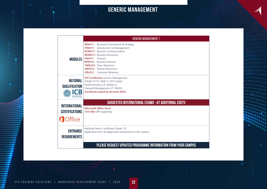# **GENERIC MANAGEMENT**

|                                                                 | <b>GENERIC MANAGEMENT 1</b>                                                                                                                                                                                                                                                                                                               |  |  |
|-----------------------------------------------------------------|-------------------------------------------------------------------------------------------------------------------------------------------------------------------------------------------------------------------------------------------------------------------------------------------------------------------------------------------|--|--|
| <b>MODULES</b>                                                  | <b>BES411:</b> Business Environment & Strategy<br><b>ITM411:</b> Introduction to Management<br><b>BCM411:</b> Business Communication<br><b>BNM411: Business Numeracy</b><br><b>FIN411:</b><br>Finance<br><b>BPR412:</b> Business Practice<br><b>TMD412:</b> Team Dynamics<br>HRP412: Human Resources<br><b>CRL412:</b> Customer Relations |  |  |
| <b>NATIONAL</b><br><b>QUALIFICATION</b>                         | FET Certificate: Generic Management<br>(SAQA 57712, NQF 4, 150 Credits)<br>(Administration LP: 58344) or<br>(General Management LP: 74630)<br><b>Certificate issued by Services SETA</b>                                                                                                                                                  |  |  |
| <b>INTERNATIONAL</b><br><b>CERTIFICATIONS</b><br><b>O</b> ffice | SUGGESTED INTERNATIONAL EXAMS - AT ADDITIONAL COSTS<br><b>Microsoft Office Excel</b><br>C10-506 CBP Leadership                                                                                                                                                                                                                            |  |  |
| <b>ENTRANCE</b><br><b>REQUIREMENTS</b>                          | National Senior Certificate (Grade 12)<br>Application form & diagnostics assessment at the campus                                                                                                                                                                                                                                         |  |  |
|                                                                 | PLEASE REQUEST UPDATED PROGRAMME INFORMATION FROM YOUR CAMPUS                                                                                                                                                                                                                                                                             |  |  |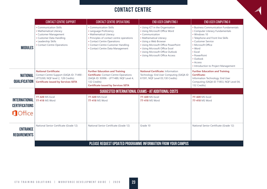# **CONTACT CENTRE**

|                                                                  | <b>CONTACT CENTRE SUPPORT</b>                                                                                                                                | <b>CONTACT CENTRE OPERATIONS</b>                                                                                                                                                                                                  | <b>END USER COMPUTING I</b>                                                                                                                                                                                                                                                             | <b>END USER COMPUTING II</b>                                                                                                                                                                                                                                                           |
|------------------------------------------------------------------|--------------------------------------------------------------------------------------------------------------------------------------------------------------|-----------------------------------------------------------------------------------------------------------------------------------------------------------------------------------------------------------------------------------|-----------------------------------------------------------------------------------------------------------------------------------------------------------------------------------------------------------------------------------------------------------------------------------------|----------------------------------------------------------------------------------------------------------------------------------------------------------------------------------------------------------------------------------------------------------------------------------------|
| <b>MODULES</b>                                                   | • Communication Skills<br>• Mathematical Literacy<br>• Customer Management<br>• Customer Data Handling<br>• Leadership Skills<br>• Contact Centre Operations | • Communication Skills<br>• Language Proficiency<br>• Mathematical Literacy<br>• Principles of contact centre operations<br>• Contact Centre Operations<br>• Contact Centre Customer Handling<br>• Contact Centre Data Management | • Using ICT in the Organisation<br>• Using Microsoft Office Word<br>• Communication<br>• Mathematical Literacy<br>• Using a Web Browser<br>• Using Microsoft Office PowerPoint<br>• Using Microsoft Office Excel<br>• Using Microsoft Office Outlook<br>• Using Microsoft Office Access | • Business Communication Fundamentals<br>• Computer Literacy Fundamentals<br>• Windows 10<br>• Telephone and Front line Skills<br>• Customer Service<br>• Microsoft Office<br>• Word<br>$\cdot$ Excel<br>• PowerPoint<br>• Outlook<br>• Access<br>• Introduction to Project Management |
| NATIONAL<br><b>QUALIFICATION</b>                                 | <b>National Certificate:</b><br>Contact Centre Support (SAQA ID: 71490 -<br>LP73269, NQF level 2, 128 Credits)<br><b>Certificate issued by Services SETA</b> | <b>Further Education and Training</b><br><b>Certificate:</b> Contact Centre Operations<br>(SAQA ID: 93996 - LP71489, NQF Level 4,<br>132 Credits)<br><b>Certificate issued by Services SETA</b>                                   | <b>National Certificate: Information</b><br>Technology: End User Computing (SAQA ID<br>61591, NQF Level 03,130 Credits)                                                                                                                                                                 | <b>Further Education and Training</b><br><b>Certificate:</b><br>Information Technology: End User<br>Computing (SAQA ID 71853, NQF Level 04,<br>132 Credits)                                                                                                                            |
|                                                                  | SUGGESTED INTERNATIONAL EXAMS - AT ADDITIONAL COSTS                                                                                                          |                                                                                                                                                                                                                                   |                                                                                                                                                                                                                                                                                         |                                                                                                                                                                                                                                                                                        |
| <b>INTERNATIONAL</b><br><b>CERTIFICATIONS</b><br><b>n</b> Office | <b>77-420 MS Excel</b><br>77-418 MS Word                                                                                                                     | <b>77-420 MS Excel</b><br>77-418 MS Word                                                                                                                                                                                          | <b>77-420 MS Excel</b><br>77-418 MS Word                                                                                                                                                                                                                                                | <b>77-420 MS Excel</b><br>77-418 MS Word                                                                                                                                                                                                                                               |
| <b>ENTRANCE</b><br><b>REQUIREMENTS</b>                           | National Senior Certificate (Grade 12)                                                                                                                       | National Senior Certificate (Grade 12)                                                                                                                                                                                            | Grade 10                                                                                                                                                                                                                                                                                | National Senior Certificate (Grade 12)                                                                                                                                                                                                                                                 |
|                                                                  | PLEASE REQUEST UPDATED PROGRAMME INFORMATION FROM YOUR CAMPUS                                                                                                |                                                                                                                                                                                                                                   |                                                                                                                                                                                                                                                                                         |                                                                                                                                                                                                                                                                                        |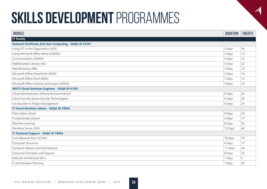| <b>MODULE</b>                                                   | <b>DURATION</b> | <b>CREDITS</b> |
|-----------------------------------------------------------------|-----------------|----------------|
| <b>IT Faculty</b>                                               |                 |                |
| <b>National Certificate: End User Computing - SAQA ID 61591</b> |                 |                |
| Using ICT in the Organisation (UIO)                             | 5 Days          | 30             |
| Using Microsoft Office Word (UMOW)                              | 3 Days          | 13             |
| Communication (COMM)                                            | 5 Days          | 25             |
| Mathematical Literacy (ML)                                      | 5 Days          | 22             |
| Web Browsing (WB)                                               | 3 Days          | 10             |
| Microsoft Office PowerPoint (MOP)                               | 3 Days          | 10             |
| Microsoft Office Excel (MOE)                                    | 3 Days          | 13             |
| Microsoft Office Outlook and Access (MOOA)                      | 3 Days          | 13             |
| 48573 Cloud Solutions Engineer - SAQA ID 61591                  |                 |                |
| Cloud Administration (Microsoft Azure Admin)                    | 6 Days          | 24             |
| Cloud Security (Azure Security Technologies)                    | 8 Days          | 30             |
| Introduction to Project Management                              | 6 Days          | 24             |
| <b>IT Cloud Solutions Admin - SAQA ID 78964</b>                 |                 |                |
| Fibre Optics Cloud                                              | 6 Days          | 24             |
| Fundamentals (Azure)                                            | 4 Days          | 17             |
| Machine Learning                                                | 8 Days          | 30             |
| Windows Server 2016                                             | 12 Days         | 49             |
| <b>IT Technical Support - SAQA ID 78964</b>                     |                 |                |
| Core Network Part I (CCNA)                                      | 18 Days         | 70             |
| <b>Computer Structures</b>                                      | 4 Days          | 17             |
| <b>Computer Repairs and Maintenance</b>                         | 11 Days         | 44             |
| <b>Computer Principles and Support</b>                          | 8 Days          | 33             |
| Network Architecture (N+)                                       | 1 Days          | 5              |
| IT and Business Planning                                        | 7 Days          | 26             |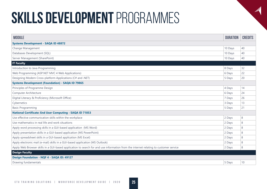| <b>MODULE</b>                                                                                                                        | <b>DURATION</b> | <b>CREDITS</b> |
|--------------------------------------------------------------------------------------------------------------------------------------|-----------------|----------------|
| <b>Systems Development - SAQA ID 48872</b>                                                                                           |                 |                |
| Change Management                                                                                                                    | 10 Days         | 40             |
| Databases Development (SQL)                                                                                                          | 10 Days         | 40             |
| Server Management (SharePoint)                                                                                                       | 10 Days         | 40             |
| <b>IT Faculty</b>                                                                                                                    |                 |                |
| Introduction to Java Programming                                                                                                     | 8 Days          | 32             |
| Web Programming (ASP.NET MVC 4 Web Applications)                                                                                     | 6 Days          | 22             |
| Designing Modern Cross-platform Applications (C# and .NET)                                                                           | 5 Days          | 20             |
| <b>Systems Development (Foundation) - SAQA ID 79865</b>                                                                              |                 |                |
| Principles of Programme Design                                                                                                       | 4 Days          | 14             |
| Computer Architecture                                                                                                                | 6 Days          | 24             |
| Digital Literacy & Proficiency (Microsoft Office)                                                                                    | 7 Days          | 26             |
| Cybernetics                                                                                                                          | 3 Days          | 13             |
| <b>Basic Programming</b>                                                                                                             | 5 Days          | 21             |
| <b>National Certificate: End User Computing - SAQA ID 71853</b>                                                                      |                 |                |
| Use effective communication skills within the workplace                                                                              | 2 Days          | 8              |
| Use mathematics in real life and work situations                                                                                     | 2 Days          | 8              |
| Apply word processing skills in a GUI-based application (MS Word)                                                                    | 2 Days          | 8              |
| Apply presentation skills in a GUI-based application (MS PowerPoint)                                                                 | 2 Days          | 8              |
| Apply spreadsheet skills in a GUI-based application (MS Excel)                                                                       | 2 Days          | 8              |
| Apply electronic mail (e-mail) skills in a GUI-based application (MS Outlook)                                                        | 2 Days          | 8              |
| Apply Web Browser skills in a GUI-based application to search for and use information from the internet relating to customer service | 2 Days          | 8              |
| <b>Design Faculty</b>                                                                                                                |                 |                |
| Design Foundation - NQF 4 - SAQA ID: 49127                                                                                           |                 |                |
| Drawing fundamentals                                                                                                                 | 5 Days          | 10             |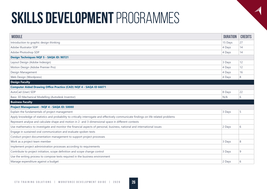| <b>MODULE</b>                                                                                                                         | <b>DURATION</b> | <b>CREDITS</b> |
|---------------------------------------------------------------------------------------------------------------------------------------|-----------------|----------------|
| Introduction to graphic design thinking                                                                                               | 15 Days         | 27             |
| Adobe Illustrator SDP                                                                                                                 | 4 Days          | 14             |
| Adobe Photoshop SDP                                                                                                                   | 4 Days          | 14             |
| Design Techniques NQF 5 - SAQA ID: 90721                                                                                              |                 |                |
| Layout Design (Adobe Indesign)                                                                                                        | 3 Days          | 12             |
| Motion Design (Adobe Premier Pro)                                                                                                     | 4 Days          | 12             |
| Design Management                                                                                                                     | 4 Days          | 16             |
| Web Design (Wordpress)                                                                                                                | 4 Days          | 8              |
| <b>Design Faculty</b>                                                                                                                 |                 |                |
| <b>Computer Aided Drawing Office Practice (CAD) NQF 4 - SAQA ID 66071</b>                                                             |                 |                |
| AutoCad (User) SDP                                                                                                                    | 8 Days          | 22             |
| Basic 3D Mechanical Modelling (Autodesk Inventor)                                                                                     | N/A             | 6              |
| <b>Business Faculty</b>                                                                                                               |                 |                |
| Project Management - NQF 4 - SAQA ID: 50080                                                                                           |                 |                |
| Explain the fundamentals of project management                                                                                        | 3 Days          | 5              |
| Apply knowledge of statistics and probability to critically interrogate and effectively communicate findings on life related problems |                 |                |
| Represent analyse and calculate shape and motion in 2- and 3-dimensional space in different contexts                                  |                 |                |
| Use mathematics to investigate and monitor the financial aspects of personal, business, national and international issues             | 2 Days          | 6              |
| Engage in sustained oral communication and evaluate spoken texts                                                                      |                 |                |
| Conduct project documentation management to support project processes                                                                 |                 |                |
| Work as a project team member                                                                                                         | 3 Days          | 8              |
| Implement project administration processes according to requirements                                                                  |                 |                |
| Contribute to project initiation, scope definition and scope change control                                                           | 3 Days          | 9              |
| Use the writing process to compose texts required in the business environment                                                         |                 |                |
| Manage expenditure against a budget                                                                                                   | 2 Days          | 6              |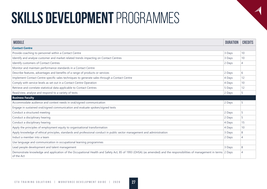| <b>MODULE</b>                                                                                                                                                                        | <b>DURATION</b> | <b>CREDITS</b> |
|--------------------------------------------------------------------------------------------------------------------------------------------------------------------------------------|-----------------|----------------|
| <b>Contact Centre</b>                                                                                                                                                                |                 |                |
| Provide coaching to personnel within a Contact Centre                                                                                                                                | 3 Days          | 10             |
| Identify and analyse customer and market related trends impacting on Contact Centres                                                                                                 | 3 Days          | 10             |
| Identify customers of Contact Centres                                                                                                                                                | 2 Days          | 4              |
| Monitor and maintain performance standards in a Contact Centre                                                                                                                       |                 |                |
| Describe features, advantages and benefits of a range of products or services                                                                                                        | 2 Days          | 6              |
| Implement Contact Centre specific sales techniques to generate sales through a Contact Centre                                                                                        | 4 Days          | 12             |
| Comply with service levels as set out in a Contact Centre Operation                                                                                                                  | 4 Days          | 10             |
| Retrieve and correlate statistical data applicable to Contact Centres                                                                                                                | 5 Days          | 12             |
| Read/view, analyse and respond to a variety of texts                                                                                                                                 | 2 Days          | 5              |
| <b>Business Faculty</b>                                                                                                                                                              |                 |                |
| Accommodate audience and context needs in oral/signed communication                                                                                                                  | 2 Days          | 5              |
| Engage in sustained oral/signed communication and evaluate spoken/signed texts                                                                                                       |                 |                |
| Conduct a structured meeting                                                                                                                                                         | 2 Days          | 5              |
| Conduct a disciplinary hearing                                                                                                                                                       | 2 Days          | 5              |
| Conduct a disciplinary hearing                                                                                                                                                       | 4 Days          | 15             |
| Apply the principles of employment equity to organisational transformation                                                                                                           | 4 Days          | 10             |
| Apply knowledge of ethical principles, standards and professional conduct in public sector management and administration                                                             | 3 Days          | 8              |
| Induct a member into a team                                                                                                                                                          | 2 Days          | 4              |
| Use language and communication in occupational learning programmes                                                                                                                   |                 |                |
| Lead people development and talent management                                                                                                                                        | 3 Days          | 8              |
| Demonstrate knowledge and application of the Occupational Health and Safety Act, 85 of 1993 (OHSA) (as amended) and the responsibilities of management in terms 2 Days<br>of the Act |                 | 4              |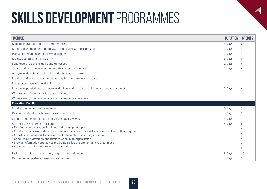| <b>MODULE</b>                                                                                                                                                                 | <b>DURATION</b> | <b>CREDITS</b> |
|-------------------------------------------------------------------------------------------------------------------------------------------------------------------------------|-----------------|----------------|
| Manage individual and team performance                                                                                                                                        | 3 Days          | 8              |
| Monitor team members and measure effectiveness of performance                                                                                                                 | 2 Days          | $\overline{4}$ |
| Plan and prepare meeting communications                                                                                                                                       | 2 Days          | $\overline{4}$ |
| Monitor, assess and manage risk                                                                                                                                               | 3 Days          | 8              |
| Build teams to achieve goals and objectives                                                                                                                                   | 2 Days          | 6              |
| Create and manage an environment that promotes innovation                                                                                                                     | 2 Days          | 6              |
| Analyse leadership and related theories in a work context                                                                                                                     |                 |                |
| Monitor and evaluate team members against performance standards                                                                                                               |                 |                |
| Interpret and use information from texts                                                                                                                                      |                 |                |
| Identify responsibilities of a team leader in ensuring that organisational standards are met                                                                                  | 2 Days          | 6              |
| Write/present/sign for a wide range of contexts                                                                                                                               |                 |                |
| Write/present/sign texts for a range of communicative contexts                                                                                                                |                 |                |
| <b>Education Faculty</b>                                                                                                                                                      |                 |                |
| Conduct outcome-based assessment                                                                                                                                              | 5 Days          | 15             |
| Design and develop outcomes-based assessments                                                                                                                                 | 3 Days          | 10             |
| Conduct moderation of outcomes-based assessments                                                                                                                              | 3 Days          | 10             |
| SDF (Skills Development Facilitator)                                                                                                                                          | 5 Days          | 6              |
| • Develop an organisational training and development plan                                                                                                                     |                 | Δ              |
| • Conduct an analysis to determine outcomes of learning for skills development and other purposes<br>• Coordinate planned skills development interventions in an organisation |                 | 6              |
| • Conduct skills development administration in an organisation                                                                                                                |                 |                |
| . Provide information and advice regarding skills development and related issues                                                                                              |                 | Δ              |
| · Promote a learning culture in an organisation                                                                                                                               |                 | 5              |
| Facilitate learning using a variety of given methodologies                                                                                                                    | 3 Days          | 10             |
| Design outcomes-based learning programmes                                                                                                                                     | 3 Days          | 10             |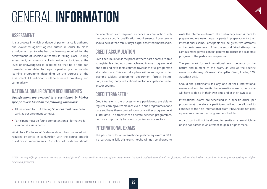# GENERAL **INFORMATION**

### **ASSESSMENT**

It is a process in which evidence of performance is gathered and evaluated against agreed criteria in order to make a judgement as to whether the learning required for the achievement of specific outcomes is taking place. During assessment, an assessor collects evidence to identify the level of knowledge/skills acquired so that he or she can make decisions related to the participant and/or the module/ learning programme, depending on the purpose of the assessment. All participants will be assessed formatively and summatively.

### **NATIONAL QUALIFICATION REQUIREMENTS**

*Qualifications are awarded to a participant, in his/her specific course based on the following conditions:*

- All fees owed to CTU Training Solutions must have been paid, as per enrolment contract.
- Participant must be found competent on all formative & summative assessments.

Workplace Portfolios of Evidence should be completed with required evidence in conjunction with the course specific qualification requirements. Portfolios of Evidence should be completed with required evidence in conjunction with the course specific qualification requirements. Absenteeism should be less than ten 10 days, as per absenteeism threshold.

### **CREDIT ACCUMULATION**

Credit accumulation is the process where participants are able to register learning outcomes achieved in one programme at one date and have them counted towards the full programme at a later date. This can take place within sub-systems, for example subject, programme, department, faculty, institution, awarding body, educational sector, occupational sector and/or country.

### **CREDIT TRANSFER\***

Credit transfer is the process where participants are able to register learning outcomes achieved in one programme at one date and have them counted towards another programme at a later date. This transfer can operate between programmes, but more importantly between organisations or sectors.

### **INTERNATIONAL EXAMS**

The pass mark for an international preliminary exam is 80%. If a participant fails this exam, he/she will not be allowed to write the international exam. The preliminary exam is there to prepare and evaluate the participants in preparation for their international exams. Participants will be given two attempts at the preliminary exam. After the second failed attempt the campus manager will contact parents to discuss the academic progress of the participant in question.

The pass mark for an international exam depends on the nature and number of the exam, as well as the specific exam provider (e.g. Microsoft, CompTIA, Cisco, Adobe, CIW, Autodesk etc.).

Should the participants fail any one of their international exams and wish to rewrite the international exam, he or she will have to do so in their own time and at their own cost.

International exams are scheduled in a specific order (per programme), therefore a participant will not be allowed to continue to the next international exam if he/she did not pass a previous exam as per programme schedule.

A participant will not be allowed to rewrite an exam which he or she has passed in an attempt to gain a higher mark.

*\*CTU can only offer programmes we are accredited for and cannot confirm that any of our programmes (national credits/international certifications) will receive further recognition from any other tertiary or higher education providers.*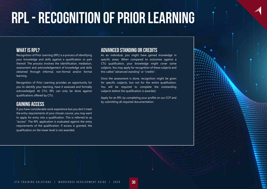# **RPL - RECOGNITION OF PRIOR LEARNING**

### **WHAT IS RPL?**

Recognition of Prior Learning (RPL) is a process of identifying your knowledge and skills against a qualification or part thereof. The process involves the identification, mediation, assessment and acknowledgement of knowledge and skills obtained through informal, non-formal and/or formal learning.

Recognition of Prior Learning provides an opportunity for you to identify your learning, have it assessed and formally acknowledged. At CTU, RPL can only be done against qualifications offered by CTU.

### **GAINING ACCESS**

If you have considerable work experience but you don't meet the entry requirements of your chosen course, you may want to apply for entry into a qualification. This is referred to as "access". The RPL application is evaluated against the entry requirements of the qualification. If access is granted, the qualification on the lower level is not awarded.

### **ADVANCED STANDING OR CREDITS**

As an individual, you might have gained knowledge in specific areas. When compared to outcomes against a CTU qualification, your knowledge might cover some subjects. You may apply for recognition of these subjects and this called "advanced standing" or "credits".

Once the assessment is done, recognition might be given for specific subjects, but not for the entire qualification. You will be required to complete the outstanding subjects before the qualification is awarded.

Apply for an RPL by completing your profile on our CCP and by submitting all required documentation.